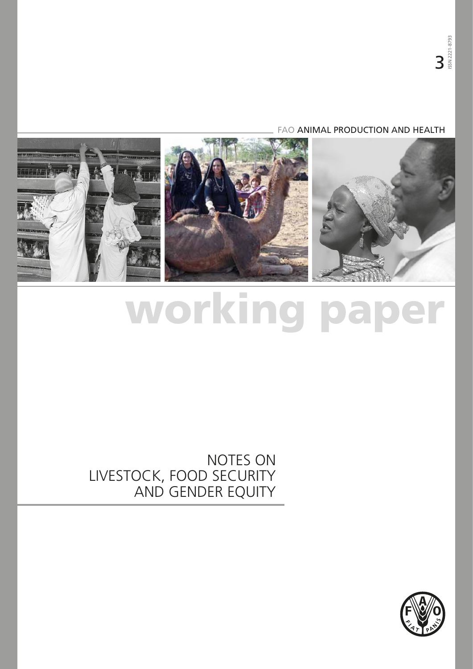#### FAO ANIMAL PRODUCTION AND HEALTH



# working paper

# NOTES ON LIVESTOCK, FOOD SECURITY AND GENDER EQUITY

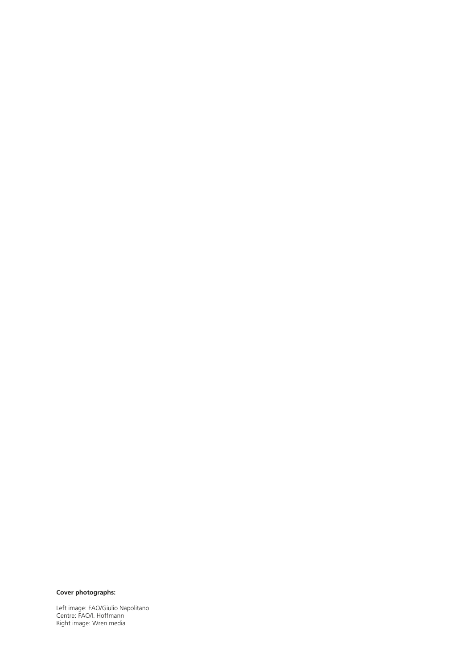#### **Cover photographs:**

Left image: FAO/Giulio Napolitano Centre: FAO/I. Hoffmann Right image: Wren media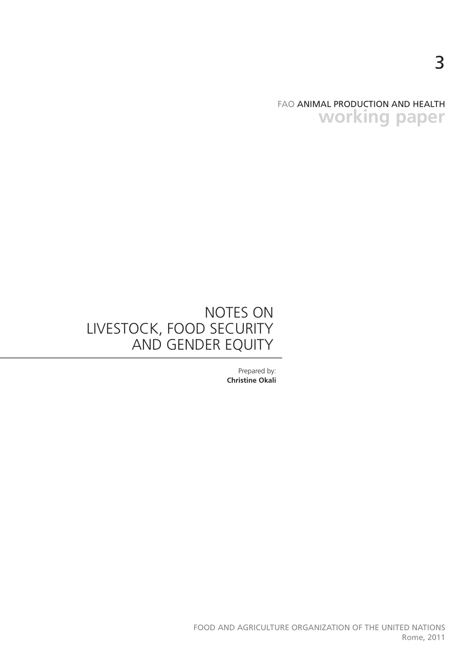FAO ANIMAL PRODUCTION AND HEALTH **working paper**

# NOTES ON LIVESTOCK, FOOD SECURITY AND GENDER EQUITY

Prepared by: **Christine Okali**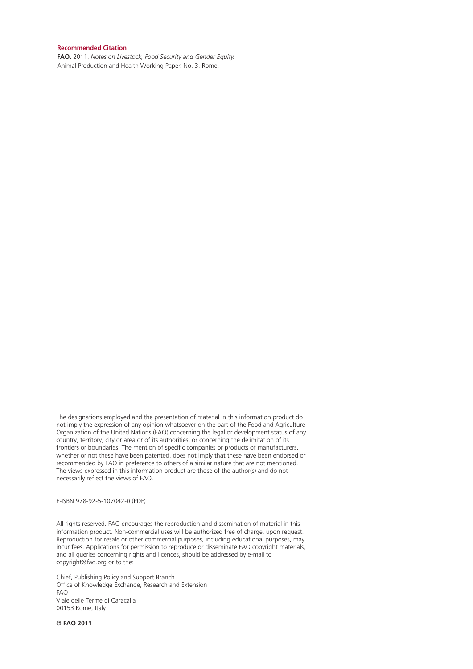#### **Recommended Citation**

**FAO.** 2011. *Notes on Livestock, Food Security and Gender Equity.* Animal Production and Health Working Paper. No. 3. Rome.

The designations employed and the presentation of material in this information product do not imply the expression of any opinion whatsoever on the part of the Food and Agriculture Organization of the United Nations (FAO) concerning the legal or development status of any country, territory, city or area or of its authorities, or concerning the delimitation of its frontiers or boundaries. The mention of specific companies or products of manufacturers, whether or not these have been patented, does not imply that these have been endorsed or recommended by FAO in preference to others of a similar nature that are not mentioned. The views expressed in this information product are those of the author(s) and do not necessarily reflect the views of FAO.

E-ISBN 978-92-5-107042-0 (PDF)

All rights reserved. FAO encourages the reproduction and dissemination of material in this information product. Non-commercial uses will be authorized free of charge, upon request. Reproduction for resale or other commercial purposes, including educational purposes, may incur fees. Applications for permission to reproduce or disseminate FAO copyright materials, and all queries concerning rights and licences, should be addressed by e-mail to copyright@fao.org or to the:

Chief, Publishing Policy and Support Branch Office of Knowledge Exchange, Research and Extension FAO Viale delle Terme di Caracalla 00153 Rome, Italy

**© FAO 2011**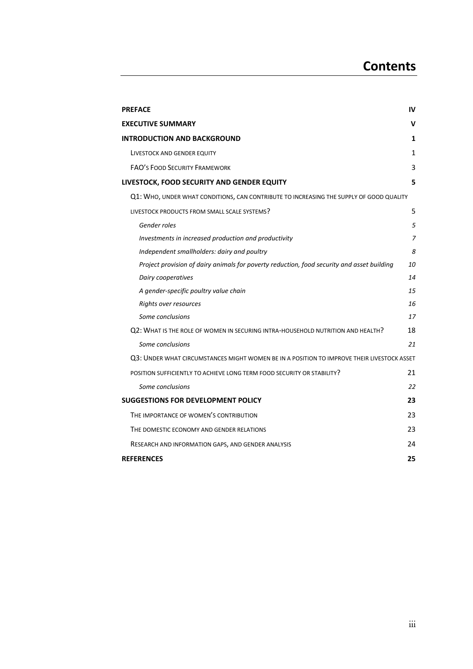| <b>PREFACE</b>                                                                             | IV           |
|--------------------------------------------------------------------------------------------|--------------|
| <b>EXECUTIVE SUMMARY</b>                                                                   | v            |
| <b>INTRODUCTION AND BACKGROUND</b>                                                         | 1            |
| LIVESTOCK AND GENDER EQUITY                                                                | $\mathbf{1}$ |
| <b>FAO'S FOOD SECURITY FRAMEWORK</b>                                                       | 3            |
| LIVESTOCK, FOOD SECURITY AND GENDER EQUITY                                                 | 5            |
| Q1: WHO, UNDER WHAT CONDITIONS, CAN CONTRIBUTE TO INCREASING THE SUPPLY OF GOOD QUALITY    |              |
| LIVESTOCK PRODUCTS FROM SMALL SCALE SYSTEMS?                                               | 5            |
| Gender roles                                                                               | 5            |
| Investments in increased production and productivity                                       | 7            |
| Independent smallholders: dairy and poultry                                                | 8            |
| Project provision of dairy animals for poverty reduction, food security and asset building | 10           |
| Dairy cooperatives                                                                         | 14           |
| A gender-specific poultry value chain                                                      | 15           |
| Rights over resources                                                                      | 16           |
| Some conclusions                                                                           | 17           |
| Q2: WHAT IS THE ROLE OF WOMEN IN SECURING INTRA-HOUSEHOLD NUTRITION AND HEALTH?            | 18           |
| Some conclusions                                                                           | 21           |
| Q3: UNDER WHAT CIRCUMSTANCES MIGHT WOMEN BE IN A POSITION TO IMPROVE THEIR LIVESTOCK ASSET |              |
| POSITION SUFFICIENTLY TO ACHIEVE LONG TERM FOOD SECURITY OR STABILITY?                     | 21           |
| Some conclusions                                                                           | 22           |
| <b>SUGGESTIONS FOR DEVELOPMENT POLICY</b>                                                  | 23           |
| THE IMPORTANCE OF WOMEN'S CONTRIBUTION                                                     | 23           |
| THE DOMESTIC ECONOMY AND GENDER RELATIONS                                                  | 23           |
| RESEARCH AND INFORMATION GAPS, AND GENDER ANALYSIS                                         | 24           |
| <b>REFERENCES</b>                                                                          | 25           |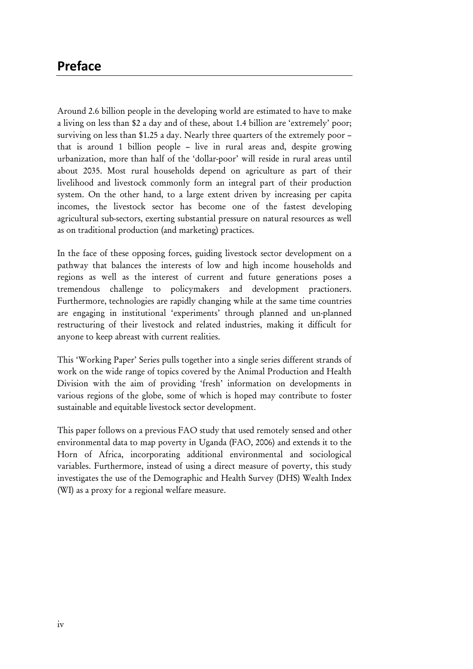# Preface

Around 2.6 billion people in the developing world are estimated to have to make a living on less than \$2 a day and of these, about 1.4 billion are 'extremely' poor; surviving on less than \$1.25 a day. Nearly three quarters of the extremely poor – that is around 1 billion people – live in rural areas and, despite growing urbanization, more than half of the 'dollar-poor' will reside in rural areas until about 2035. Most rural households depend on agriculture as part of their livelihood and livestock commonly form an integral part of their production system. On the other hand, to a large extent driven by increasing per capita incomes, the livestock sector has become one of the fastest developing agricultural sub-sectors, exerting substantial pressure on natural resources as well as on traditional production (and marketing) practices.

In the face of these opposing forces, guiding livestock sector development on a pathway that balances the interests of low and high income households and regions as well as the interest of current and future generations poses a tremendous challenge to policymakers and development practioners. Furthermore, technologies are rapidly changing while at the same time countries are engaging in institutional 'experiments' through planned and un-planned restructuring of their livestock and related industries, making it difficult for anyone to keep abreast with current realities.

This 'Working Paper' Series pulls together into a single series different strands of work on the wide range of topics covered by the Animal Production and Health Division with the aim of providing 'fresh' information on developments in various regions of the globe, some of which is hoped may contribute to foster sustainable and equitable livestock sector development.

This paper follows on a previous FAO study that used remotely sensed and other environmental data to map poverty in Uganda (FAO, 2006) and extends it to the Horn of Africa, incorporating additional environmental and sociological variables. Furthermore, instead of using a direct measure of poverty, this study investigates the use of the Demographic and Health Survey (DHS) Wealth Index (WI) as a proxy for a regional welfare measure.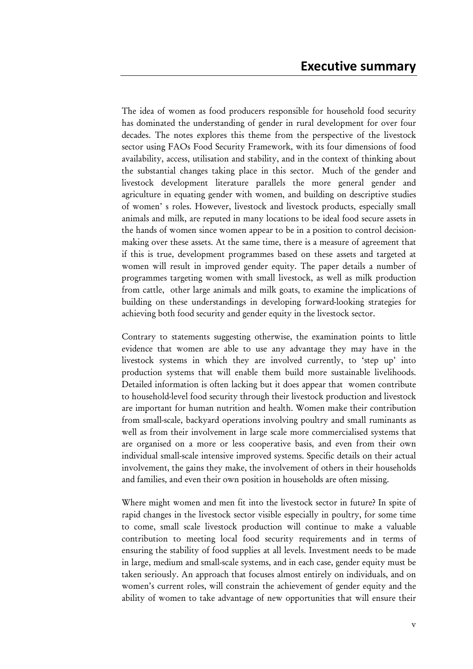The idea of women as food producers responsible for household food security has dominated the understanding of gender in rural development for over four decades. The notes explores this theme from the perspective of the livestock sector using FAOs Food Security Framework, with its four dimensions of food availability, access, utilisation and stability, and in the context of thinking about the substantial changes taking place in this sector. Much of the gender and livestock development literature parallels the more general gender and agriculture in equating gender with women, and building on descriptive studies of women' s roles. However, livestock and livestock products, especially small animals and milk, are reputed in many locations to be ideal food secure assets in the hands of women since women appear to be in a position to control decisionmaking over these assets. At the same time, there is a measure of agreement that if this is true, development programmes based on these assets and targeted at women will result in improved gender equity. The paper details a number of programmes targeting women with small livestock, as well as milk production from cattle, other large animals and milk goats, to examine the implications of building on these understandings in developing forward-looking strategies for achieving both food security and gender equity in the livestock sector.

Contrary to statements suggesting otherwise, the examination points to little evidence that women are able to use any advantage they may have in the livestock systems in which they are involved currently, to 'step up' into production systems that will enable them build more sustainable livelihoods. Detailed information is often lacking but it does appear that women contribute to household-level food security through their livestock production and livestock are important for human nutrition and health. Women make their contribution from small-scale, backyard operations involving poultry and small ruminants as well as from their involvement in large scale more commercialised systems that are organised on a more or less cooperative basis, and even from their own individual small-scale intensive improved systems. Specific details on their actual involvement, the gains they make, the involvement of others in their households and families, and even their own position in households are often missing.

Where might women and men fit into the livestock sector in future? In spite of rapid changes in the livestock sector visible especially in poultry, for some time to come, small scale livestock production will continue to make a valuable contribution to meeting local food security requirements and in terms of ensuring the stability of food supplies at all levels. Investment needs to be made in large, medium and small-scale systems, and in each case, gender equity must be taken seriously. An approach that focuses almost entirely on individuals, and on women's current roles, will constrain the achievement of gender equity and the ability of women to take advantage of new opportunities that will ensure their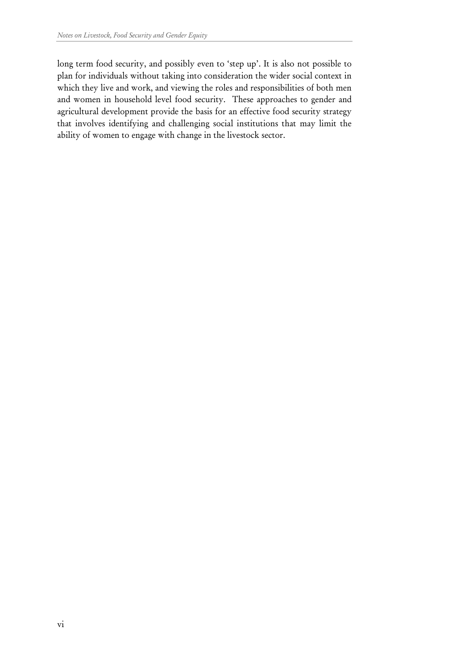long term food security, and possibly even to 'step up'. It is also not possible to plan for individuals without taking into consideration the wider social context in which they live and work, and viewing the roles and responsibilities of both men and women in household level food security. These approaches to gender and agricultural development provide the basis for an effective food security strategy that involves identifying and challenging social institutions that may limit the ability of women to engage with change in the livestock sector.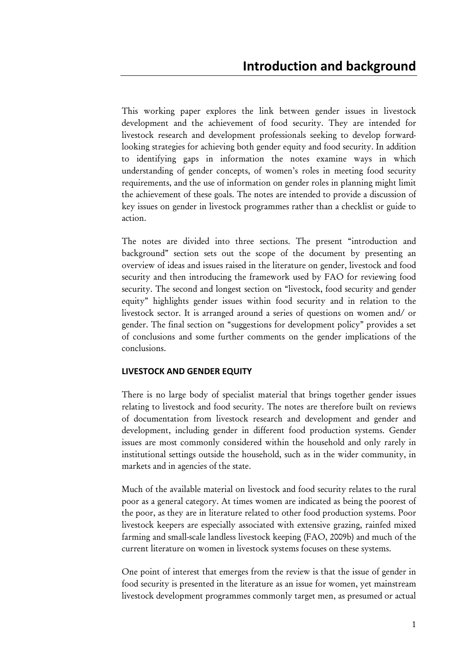This working paper explores the link between gender issues in livestock development and the achievement of food security. They are intended for livestock research and development professionals seeking to develop forwardlooking strategies for achieving both gender equity and food security. In addition to identifying gaps in information the notes examine ways in which understanding of gender concepts, of women's roles in meeting food security requirements, and the use of information on gender roles in planning might limit the achievement of these goals. The notes are intended to provide a discussion of key issues on gender in livestock programmes rather than a checklist or guide to action.

The notes are divided into three sections. The present "introduction and background" section sets out the scope of the document by presenting an overview of ideas and issues raised in the literature on gender, livestock and food security and then introducing the framework used by FAO for reviewing food security. The second and longest section on "livestock, food security and gender equity" highlights gender issues within food security and in relation to the livestock sector. It is arranged around a series of questions on women and/ or gender. The final section on "suggestions for development policy" provides a set of conclusions and some further comments on the gender implications of the conclusions.

#### LIVESTOCK AND GENDER EQUITY

There is no large body of specialist material that brings together gender issues relating to livestock and food security. The notes are therefore built on reviews of documentation from livestock research and development and gender and development, including gender in different food production systems. Gender issues are most commonly considered within the household and only rarely in institutional settings outside the household, such as in the wider community, in markets and in agencies of the state.

Much of the available material on livestock and food security relates to the rural poor as a general category. At times women are indicated as being the poorest of the poor, as they are in literature related to other food production systems. Poor livestock keepers are especially associated with extensive grazing, rainfed mixed farming and small-scale landless livestock keeping (FAO, 2009b) and much of the current literature on women in livestock systems focuses on these systems.

One point of interest that emerges from the review is that the issue of gender in food security is presented in the literature as an issue for women, yet mainstream livestock development programmes commonly target men, as presumed or actual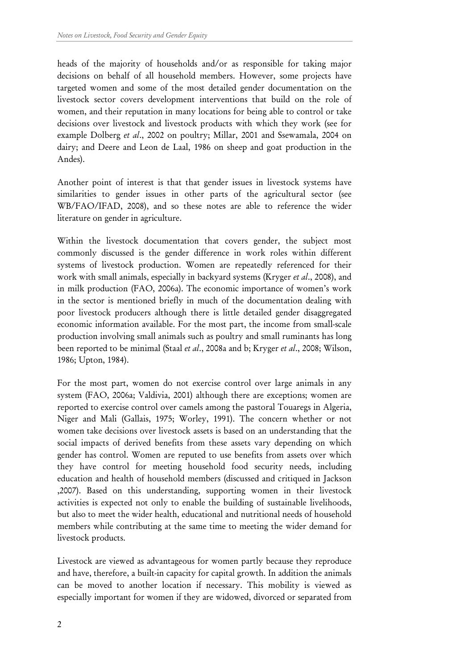heads of the majority of households and/or as responsible for taking major decisions on behalf of all household members. However, some projects have targeted women and some of the most detailed gender documentation on the livestock sector covers development interventions that build on the role of women, and their reputation in many locations for being able to control or take decisions over livestock and livestock products with which they work (see for example Dolberg et al., 2002 on poultry; Millar, 2001 and Ssewamala, 2004 on dairy; and Deere and Leon de Laal, 1986 on sheep and goat production in the Andes).

Another point of interest is that that gender issues in livestock systems have similarities to gender issues in other parts of the agricultural sector (see WB/FAO/IFAD, 2008), and so these notes are able to reference the wider literature on gender in agriculture.

Within the livestock documentation that covers gender, the subject most commonly discussed is the gender difference in work roles within different systems of livestock production. Women are repeatedly referenced for their work with small animals, especially in backyard systems (Kryger et al., 2008), and in milk production (FAO, 2006a). The economic importance of women's work in the sector is mentioned briefly in much of the documentation dealing with poor livestock producers although there is little detailed gender disaggregated economic information available. For the most part, the income from small-scale production involving small animals such as poultry and small ruminants has long been reported to be minimal (Staal et al., 2008a and b; Kryger et al., 2008; Wilson, 1986; Upton, 1984).

For the most part, women do not exercise control over large animals in any system (FAO, 2006a; Valdivia, 2001) although there are exceptions; women are reported to exercise control over camels among the pastoral Touaregs in Algeria, Niger and Mali (Gallais, 1975; Worley, 1991). The concern whether or not women take decisions over livestock assets is based on an understanding that the social impacts of derived benefits from these assets vary depending on which gender has control. Women are reputed to use benefits from assets over which they have control for meeting household food security needs, including education and health of household members (discussed and critiqued in Jackson ,2007). Based on this understanding, supporting women in their livestock activities is expected not only to enable the building of sustainable livelihoods, but also to meet the wider health, educational and nutritional needs of household members while contributing at the same time to meeting the wider demand for livestock products.

Livestock are viewed as advantageous for women partly because they reproduce and have, therefore, a built-in capacity for capital growth. In addition the animals can be moved to another location if necessary. This mobility is viewed as especially important for women if they are widowed, divorced or separated from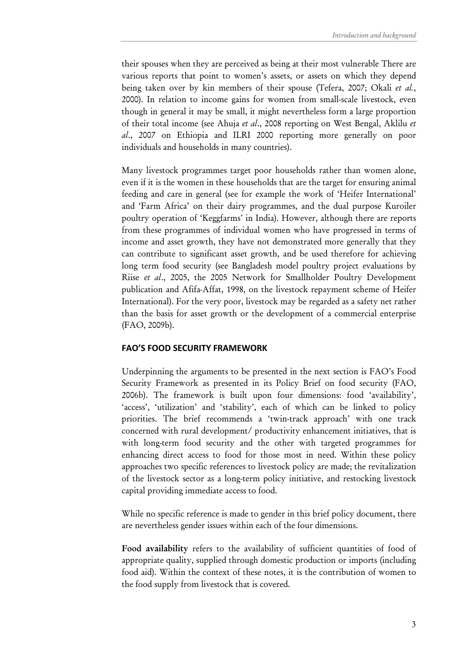their spouses when they are perceived as being at their most vulnerable There are various reports that point to women's assets, or assets on which they depend being taken over by kin members of their spouse (Tefera, 2007; Okali et al., 2000). In relation to income gains for women from small-scale livestock, even though in general it may be small, it might nevertheless form a large proportion of their total income (see Ahuja et al., 2008 reporting on West Bengal, Aklilu et al., 2007 on Ethiopia and ILRI 2000 reporting more generally on poor individuals and households in many countries).

Many livestock programmes target poor households rather than women alone, even if it is the women in these households that are the target for ensuring animal feeding and care in general (see for example the work of 'Heifer International' and 'Farm Africa' on their dairy programmes, and the dual purpose Kuroiler poultry operation of 'Keggfarms' in India). However, although there are reports from these programmes of individual women who have progressed in terms of income and asset growth, they have not demonstrated more generally that they can contribute to significant asset growth, and be used therefore for achieving long term food security (see Bangladesh model poultry project evaluations by Riise et al., 2005, the 2005 Network for Smallholder Poultry Development publication and Afifa-Affat, 1998, on the livestock repayment scheme of Heifer International). For the very poor, livestock may be regarded as a safety net rather than the basis for asset growth or the development of a commercial enterprise (FAO, 2009b).

#### FAO'S FOOD SECURITY FRAMEWORK

Underpinning the arguments to be presented in the next section is FAO's Food Security Framework as presented in its Policy Brief on food security (FAO, 2006b). The framework is built upon four dimensions: food 'availability', 'access', 'utilization' and 'stability', each of which can be linked to policy priorities. The brief recommends a 'twin-track approach' with one track concerned with rural development/ productivity enhancement initiatives, that is with long-term food security and the other with targeted programmes for enhancing direct access to food for those most in need. Within these policy approaches two specific references to livestock policy are made; the revitalization of the livestock sector as a long-term policy initiative, and restocking livestock capital providing immediate access to food.

While no specific reference is made to gender in this brief policy document, there are nevertheless gender issues within each of the four dimensions.

Food availability refers to the availability of sufficient quantities of food of appropriate quality, supplied through domestic production or imports (including food aid). Within the context of these notes, it is the contribution of women to the food supply from livestock that is covered.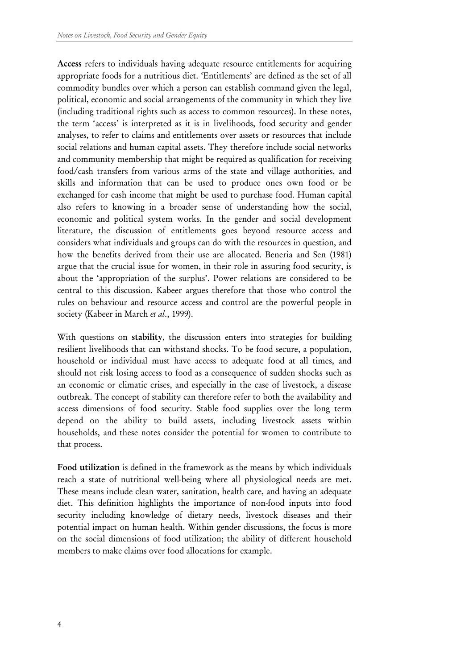Access refers to individuals having adequate resource entitlements for acquiring appropriate foods for a nutritious diet. 'Entitlements' are defined as the set of all commodity bundles over which a person can establish command given the legal, political, economic and social arrangements of the community in which they live (including traditional rights such as access to common resources). In these notes, the term 'access' is interpreted as it is in livelihoods, food security and gender analyses, to refer to claims and entitlements over assets or resources that include social relations and human capital assets. They therefore include social networks and community membership that might be required as qualification for receiving food/cash transfers from various arms of the state and village authorities, and skills and information that can be used to produce ones own food or be exchanged for cash income that might be used to purchase food. Human capital also refers to knowing in a broader sense of understanding how the social, economic and political system works. In the gender and social development literature, the discussion of entitlements goes beyond resource access and considers what individuals and groups can do with the resources in question, and how the benefits derived from their use are allocated. Beneria and Sen (1981) argue that the crucial issue for women, in their role in assuring food security, is about the 'appropriation of the surplus'. Power relations are considered to be central to this discussion. Kabeer argues therefore that those who control the rules on behaviour and resource access and control are the powerful people in society (Kabeer in March et al., 1999).

With questions on stability, the discussion enters into strategies for building resilient livelihoods that can withstand shocks. To be food secure, a population, household or individual must have access to adequate food at all times, and should not risk losing access to food as a consequence of sudden shocks such as an economic or climatic crises, and especially in the case of livestock, a disease outbreak. The concept of stability can therefore refer to both the availability and access dimensions of food security. Stable food supplies over the long term depend on the ability to build assets, including livestock assets within households, and these notes consider the potential for women to contribute to that process.

Food utilization is defined in the framework as the means by which individuals reach a state of nutritional well-being where all physiological needs are met. These means include clean water, sanitation, health care, and having an adequate diet. This definition highlights the importance of non-food inputs into food security including knowledge of dietary needs, livestock diseases and their potential impact on human health. Within gender discussions, the focus is more on the social dimensions of food utilization; the ability of different household members to make claims over food allocations for example.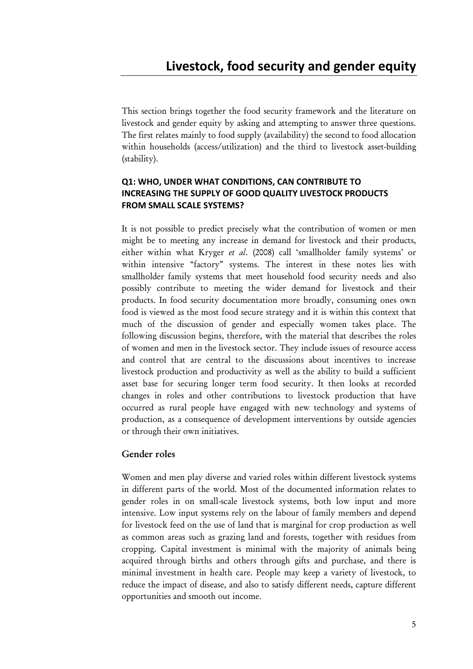This section brings together the food security framework and the literature on livestock and gender equity by asking and attempting to answer three questions. The first relates mainly to food supply (availability) the second to food allocation within households (access/utilization) and the third to livestock asset-building (stability).

## Q1: WHO, UNDER WHAT CONDITIONS, CAN CONTRIBUTE TO INCREASING THE SUPPLY OF GOOD QUALITY LIVESTOCK PRODUCTS FROM SMALL SCALE SYSTEMS?

It is not possible to predict precisely what the contribution of women or men might be to meeting any increase in demand for livestock and their products, either within what Kryger et al. (2008) call 'smallholder family systems' or within intensive "factory" systems. The interest in these notes lies with smallholder family systems that meet household food security needs and also possibly contribute to meeting the wider demand for livestock and their products. In food security documentation more broadly, consuming ones own food is viewed as the most food secure strategy and it is within this context that much of the discussion of gender and especially women takes place. The following discussion begins, therefore, with the material that describes the roles of women and men in the livestock sector. They include issues of resource access and control that are central to the discussions about incentives to increase livestock production and productivity as well as the ability to build a sufficient asset base for securing longer term food security. It then looks at recorded changes in roles and other contributions to livestock production that have occurred as rural people have engaged with new technology and systems of production, as a consequence of development interventions by outside agencies or through their own initiatives.

# Gender roles

Women and men play diverse and varied roles within different livestock systems in different parts of the world. Most of the documented information relates to gender roles in on small-scale livestock systems, both low input and more intensive. Low input systems rely on the labour of family members and depend for livestock feed on the use of land that is marginal for crop production as well as common areas such as grazing land and forests, together with residues from cropping. Capital investment is minimal with the majority of animals being acquired through births and others through gifts and purchase, and there is minimal investment in health care. People may keep a variety of livestock, to reduce the impact of disease, and also to satisfy different needs, capture different opportunities and smooth out income.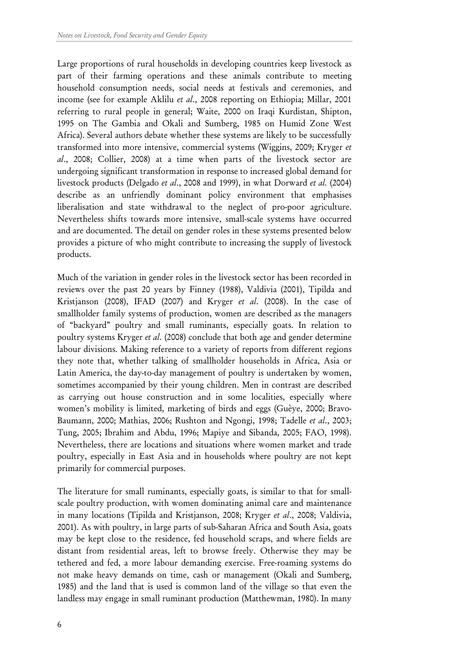Large proportions of rural households in developing countries keep livestock as part of their farming operations and these animals contribute to meeting household consumption needs, social needs at festivals and ceremonies, and income (see for example Aklilu et al., 2008 reporting on Ethiopia; Millar, 2001 referring to rural people in general; Waite, 2000 on Iraqi Kurdistan, Shipton, 1995 on The Gambia and Okali and Sumberg, 1985 on Humid Zone West Africa). Several authors debate whether these systems are likely to be successfully transformed into more intensive, commercial systems (Wiggins, 2009; Kryger et al., 2008; Collier, 2008) at a time when parts of the livestock sector are undergoing significant transformation in response to increased global demand for livestock products (Delgado et al., 2008 and 1999), in what Dorward et al. (2004) describe as an unfriendly dominant policy environment that emphasises liberalisation and state withdrawal to the neglect of pro-poor agriculture. Nevertheless shifts towards more intensive, small-scale systems have occurred and are documented. The detail on gender roles in these systems presented below provides a picture of who might contribute to increasing the supply of livestock products.

Much of the variation in gender roles in the livestock sector has been recorded in reviews over the past 20 years by Finney (1988), Valdivia (2001), Tipilda and Kristjanson (2008), IFAD (2007) and Kryger et al. (2008). In the case of smallholder family systems of production, women are described as the managers of "backyard" poultry and small ruminants, especially goats. In relation to poultry systems Kryger et al. (2008) conclude that both age and gender determine labour divisions. Making reference to a variety of reports from different regions they note that, whether talking of smallholder households in Africa, Asia or Latin America, the day-to-day management of poultry is undertaken by women, sometimes accompanied by their young children. Men in contrast are described as carrying out house construction and in some localities, especially where women's mobility is limited, marketing of birds and eggs (Guèye, 2000; Bravo-Baumann, 2000; Mathias, 2006; Rushton and Ngongi, 1998; Tadelle et al., 2003; Tung, 2005; Ibrahim and Abdu, 1996; Mapiye and Sibanda, 2005; FAO, 1998). Nevertheless, there are locations and situations where women market and trade poultry, especially in East Asia and in households where poultry are not kept primarily for commercial purposes.

The literature for small ruminants, especially goats, is similar to that for smallscale poultry production, with women dominating animal care and maintenance in many locations (Tipilda and Kristjanson, 2008; Kryger et al., 2008; Valdivia, 2001). As with poultry, in large parts of sub-Saharan Africa and South Asia, goats may be kept close to the residence, fed household scraps, and where fields are distant from residential areas, left to browse freely. Otherwise they may be tethered and fed, a more labour demanding exercise. Free-roaming systems do not make heavy demands on time, cash or management (Okali and Sumberg, 1985) and the land that is used is common land of the village so that even the landless may engage in small ruminant production (Matthewman, 1980). In many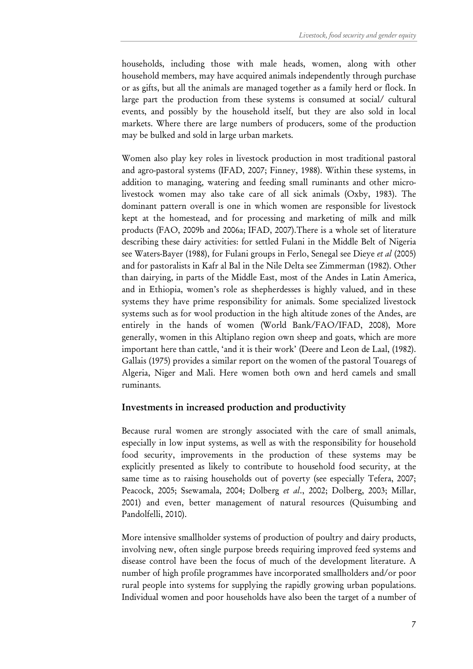households, including those with male heads, women, along with other household members, may have acquired animals independently through purchase or as gifts, but all the animals are managed together as a family herd or flock. In large part the production from these systems is consumed at social/ cultural events, and possibly by the household itself, but they are also sold in local markets. Where there are large numbers of producers, some of the production may be bulked and sold in large urban markets.

Women also play key roles in livestock production in most traditional pastoral and agro-pastoral systems (IFAD, 2007; Finney, 1988). Within these systems, in addition to managing, watering and feeding small ruminants and other microlivestock women may also take care of all sick animals (Oxby, 1983). The dominant pattern overall is one in which women are responsible for livestock kept at the homestead, and for processing and marketing of milk and milk products (FAO, 2009b and 2006a; IFAD, 2007).There is a whole set of literature describing these dairy activities: for settled Fulani in the Middle Belt of Nigeria see Waters-Bayer (1988), for Fulani groups in Ferlo, Senegal see Dieye et al (2005) and for pastoralists in Kafr al Bal in the Nile Delta see Zimmerman (1982). Other than dairying, in parts of the Middle East, most of the Andes in Latin America, and in Ethiopia, women's role as shepherdesses is highly valued, and in these systems they have prime responsibility for animals. Some specialized livestock systems such as for wool production in the high altitude zones of the Andes, are entirely in the hands of women (World Bank/FAO/IFAD, 2008), More generally, women in this Altiplano region own sheep and goats, which are more important here than cattle, 'and it is their work' (Deere and Leon de Laal, (1982). Gallais (1975) provides a similar report on the women of the pastoral Touaregs of Algeria, Niger and Mali. Here women both own and herd camels and small ruminants.

#### Investments in increased production and productivity

Because rural women are strongly associated with the care of small animals, especially in low input systems, as well as with the responsibility for household food security, improvements in the production of these systems may be explicitly presented as likely to contribute to household food security, at the same time as to raising households out of poverty (see especially Tefera, 2007; Peacock, 2005; Ssewamala, 2004; Dolberg et al., 2002; Dolberg, 2003; Millar, 2001) and even, better management of natural resources (Quisumbing and Pandolfelli, 2010).

More intensive smallholder systems of production of poultry and dairy products, involving new, often single purpose breeds requiring improved feed systems and disease control have been the focus of much of the development literature. A number of high profile programmes have incorporated smallholders and/or poor rural people into systems for supplying the rapidly growing urban populations. Individual women and poor households have also been the target of a number of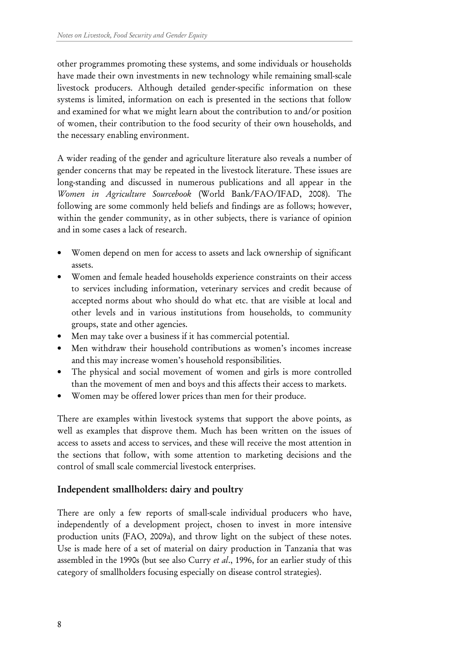other programmes promoting these systems, and some individuals or households have made their own investments in new technology while remaining small-scale livestock producers. Although detailed gender-specific information on these systems is limited, information on each is presented in the sections that follow and examined for what we might learn about the contribution to and/or position of women, their contribution to the food security of their own households, and the necessary enabling environment.

A wider reading of the gender and agriculture literature also reveals a number of gender concerns that may be repeated in the livestock literature. These issues are long-standing and discussed in numerous publications and all appear in the Women in Agriculture Sourcebook (World Bank/FAO/IFAD, 2008). The following are some commonly held beliefs and findings are as follows; however, within the gender community, as in other subjects, there is variance of opinion and in some cases a lack of research.

- Women depend on men for access to assets and lack ownership of significant assets.
- Women and female headed households experience constraints on their access to services including information, veterinary services and credit because of accepted norms about who should do what etc. that are visible at local and other levels and in various institutions from households, to community groups, state and other agencies.
- Men may take over a business if it has commercial potential.
- Men withdraw their household contributions as women's incomes increase and this may increase women's household responsibilities.
- The physical and social movement of women and girls is more controlled than the movement of men and boys and this affects their access to markets.
- Women may be offered lower prices than men for their produce.

There are examples within livestock systems that support the above points, as well as examples that disprove them. Much has been written on the issues of access to assets and access to services, and these will receive the most attention in the sections that follow, with some attention to marketing decisions and the control of small scale commercial livestock enterprises.

# Independent smallholders: dairy and poultry

There are only a few reports of small-scale individual producers who have, independently of a development project, chosen to invest in more intensive production units (FAO, 2009a), and throw light on the subject of these notes. Use is made here of a set of material on dairy production in Tanzania that was assembled in the 1990s (but see also Curry et al., 1996, for an earlier study of this category of smallholders focusing especially on disease control strategies).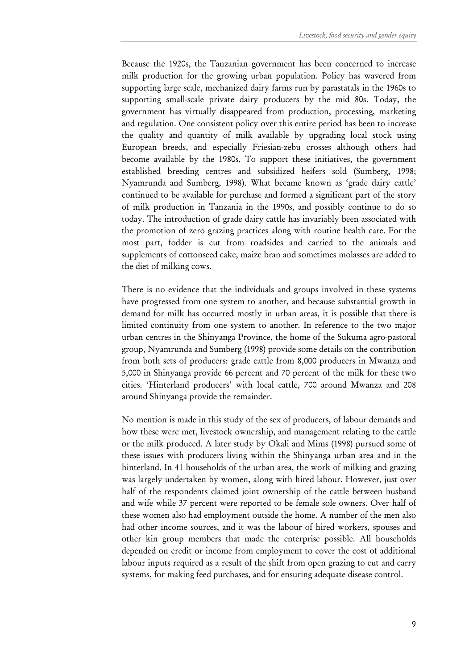Because the 1920s, the Tanzanian government has been concerned to increase milk production for the growing urban population. Policy has wavered from supporting large scale, mechanized dairy farms run by parastatals in the 1960s to supporting small-scale private dairy producers by the mid 80s. Today, the government has virtually disappeared from production, processing, marketing and regulation. One consistent policy over this entire period has been to increase the quality and quantity of milk available by upgrading local stock using European breeds, and especially Friesian-zebu crosses although others had become available by the 1980s, To support these initiatives, the government established breeding centres and subsidized heifers sold (Sumberg, 1998; Nyamrunda and Sumberg, 1998). What became known as 'grade dairy cattle' continued to be available for purchase and formed a significant part of the story of milk production in Tanzania in the 1990s, and possibly continue to do so today. The introduction of grade dairy cattle has invariably been associated with the promotion of zero grazing practices along with routine health care. For the most part, fodder is cut from roadsides and carried to the animals and supplements of cottonseed cake, maize bran and sometimes molasses are added to the diet of milking cows.

There is no evidence that the individuals and groups involved in these systems have progressed from one system to another, and because substantial growth in demand for milk has occurred mostly in urban areas, it is possible that there is limited continuity from one system to another. In reference to the two major urban centres in the Shinyanga Province, the home of the Sukuma agro-pastoral group, Nyamrunda and Sumberg (1998) provide some details on the contribution from both sets of producers: grade cattle from 8,000 producers in Mwanza and 5,000 in Shinyanga provide 66 percent and 70 percent of the milk for these two cities. 'Hinterland producers' with local cattle, 700 around Mwanza and 208 around Shinyanga provide the remainder.

No mention is made in this study of the sex of producers, of labour demands and how these were met, livestock ownership, and management relating to the cattle or the milk produced. A later study by Okali and Mims (1998) pursued some of these issues with producers living within the Shinyanga urban area and in the hinterland. In 41 households of the urban area, the work of milking and grazing was largely undertaken by women, along with hired labour. However, just over half of the respondents claimed joint ownership of the cattle between husband and wife while 37 percent were reported to be female sole owners. Over half of these women also had employment outside the home. A number of the men also had other income sources, and it was the labour of hired workers, spouses and other kin group members that made the enterprise possible. All households depended on credit or income from employment to cover the cost of additional labour inputs required as a result of the shift from open grazing to cut and carry systems, for making feed purchases, and for ensuring adequate disease control.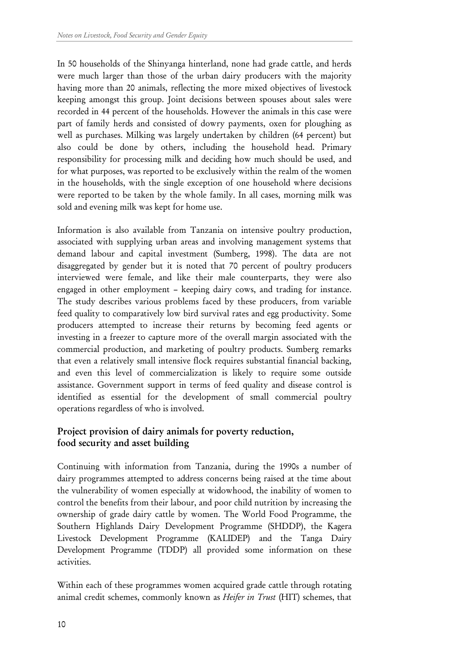In 50 households of the Shinyanga hinterland, none had grade cattle, and herds were much larger than those of the urban dairy producers with the majority having more than 20 animals, reflecting the more mixed objectives of livestock keeping amongst this group. Joint decisions between spouses about sales were recorded in 44 percent of the households. However the animals in this case were part of family herds and consisted of dowry payments, oxen for ploughing as well as purchases. Milking was largely undertaken by children (64 percent) but also could be done by others, including the household head. Primary responsibility for processing milk and deciding how much should be used, and for what purposes, was reported to be exclusively within the realm of the women in the households, with the single exception of one household where decisions were reported to be taken by the whole family. In all cases, morning milk was sold and evening milk was kept for home use.

Information is also available from Tanzania on intensive poultry production, associated with supplying urban areas and involving management systems that demand labour and capital investment (Sumberg, 1998). The data are not disaggregated by gender but it is noted that 70 percent of poultry producers interviewed were female, and like their male counterparts, they were also engaged in other employment – keeping dairy cows, and trading for instance. The study describes various problems faced by these producers, from variable feed quality to comparatively low bird survival rates and egg productivity. Some producers attempted to increase their returns by becoming feed agents or investing in a freezer to capture more of the overall margin associated with the commercial production, and marketing of poultry products. Sumberg remarks that even a relatively small intensive flock requires substantial financial backing, and even this level of commercialization is likely to require some outside assistance. Government support in terms of feed quality and disease control is identified as essential for the development of small commercial poultry operations regardless of who is involved.

# Project provision of dairy animals for poverty reduction, food security and asset building

Continuing with information from Tanzania, during the 1990s a number of dairy programmes attempted to address concerns being raised at the time about the vulnerability of women especially at widowhood, the inability of women to control the benefits from their labour, and poor child nutrition by increasing the ownership of grade dairy cattle by women. The World Food Programme, the Southern Highlands Dairy Development Programme (SHDDP), the Kagera Livestock Development Programme (KALIDEP) and the Tanga Dairy Development Programme (TDDP) all provided some information on these activities.

Within each of these programmes women acquired grade cattle through rotating animal credit schemes, commonly known as Heifer in Trust (HIT) schemes, that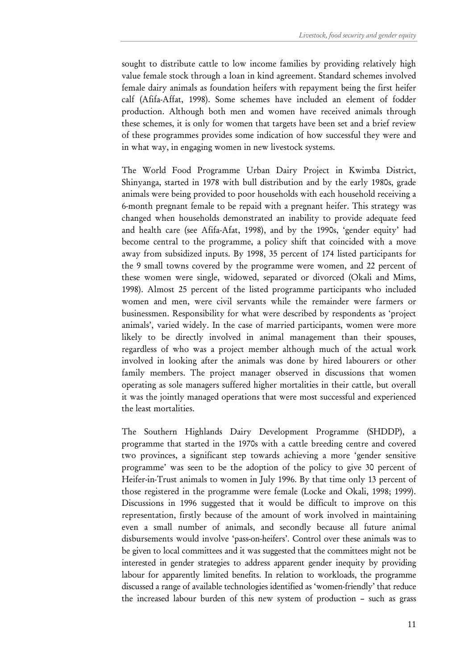sought to distribute cattle to low income families by providing relatively high value female stock through a loan in kind agreement. Standard schemes involved female dairy animals as foundation heifers with repayment being the first heifer calf (Afifa-Affat, 1998). Some schemes have included an element of fodder production. Although both men and women have received animals through these schemes, it is only for women that targets have been set and a brief review of these programmes provides some indication of how successful they were and in what way, in engaging women in new livestock systems.

The World Food Programme Urban Dairy Project in Kwimba District, Shinyanga, started in 1978 with bull distribution and by the early 1980s, grade animals were being provided to poor households with each household receiving a 6-month pregnant female to be repaid with a pregnant heifer. This strategy was changed when households demonstrated an inability to provide adequate feed and health care (see Afifa-Afat, 1998), and by the 1990s, 'gender equity' had become central to the programme, a policy shift that coincided with a move away from subsidized inputs. By 1998, 35 percent of 174 listed participants for the 9 small towns covered by the programme were women, and 22 percent of these women were single, widowed, separated or divorced (Okali and Mims, 1998). Almost 25 percent of the listed programme participants who included women and men, were civil servants while the remainder were farmers or businessmen. Responsibility for what were described by respondents as 'project animals', varied widely. In the case of married participants, women were more likely to be directly involved in animal management than their spouses, regardless of who was a project member although much of the actual work involved in looking after the animals was done by hired labourers or other family members. The project manager observed in discussions that women operating as sole managers suffered higher mortalities in their cattle, but overall it was the jointly managed operations that were most successful and experienced the least mortalities.

The Southern Highlands Dairy Development Programme (SHDDP), a programme that started in the 1970s with a cattle breeding centre and covered two provinces, a significant step towards achieving a more 'gender sensitive programme' was seen to be the adoption of the policy to give 30 percent of Heifer-in-Trust animals to women in July 1996. By that time only 13 percent of those registered in the programme were female (Locke and Okali, 1998; 1999). Discussions in 1996 suggested that it would be difficult to improve on this representation, firstly because of the amount of work involved in maintaining even a small number of animals, and secondly because all future animal disbursements would involve 'pass-on-heifers'. Control over these animals was to be given to local committees and it was suggested that the committees might not be interested in gender strategies to address apparent gender inequity by providing labour for apparently limited benefits. In relation to workloads, the programme discussed a range of available technologies identified as 'women-friendly' that reduce the increased labour burden of this new system of production – such as grass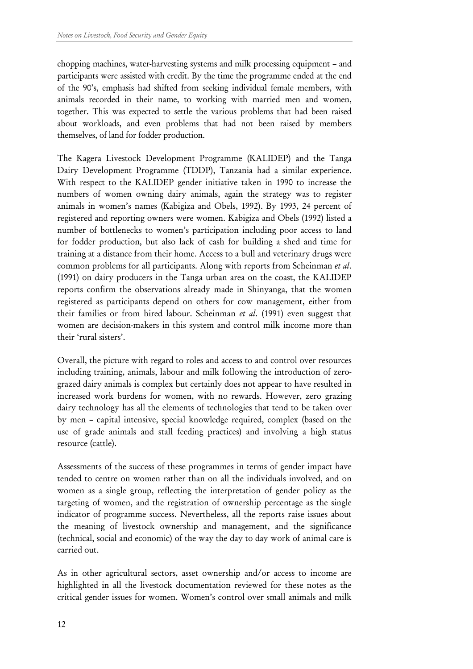chopping machines, water-harvesting systems and milk processing equipment – and participants were assisted with credit. By the time the programme ended at the end of the 90's, emphasis had shifted from seeking individual female members, with animals recorded in their name, to working with married men and women, together. This was expected to settle the various problems that had been raised about workloads, and even problems that had not been raised by members themselves, of land for fodder production.

The Kagera Livestock Development Programme (KALIDEP) and the Tanga Dairy Development Programme (TDDP), Tanzania had a similar experience. With respect to the KALIDEP gender initiative taken in 1990 to increase the numbers of women owning dairy animals, again the strategy was to register animals in women's names (Kabigiza and Obels, 1992). By 1993, 24 percent of registered and reporting owners were women. Kabigiza and Obels (1992) listed a number of bottlenecks to women's participation including poor access to land for fodder production, but also lack of cash for building a shed and time for training at a distance from their home. Access to a bull and veterinary drugs were common problems for all participants. Along with reports from Scheinman et al. (1991) on dairy producers in the Tanga urban area on the coast, the KALIDEP reports confirm the observations already made in Shinyanga, that the women registered as participants depend on others for cow management, either from their families or from hired labour. Scheinman et al. (1991) even suggest that women are decision-makers in this system and control milk income more than their 'rural sisters'.

Overall, the picture with regard to roles and access to and control over resources including training, animals, labour and milk following the introduction of zerograzed dairy animals is complex but certainly does not appear to have resulted in increased work burdens for women, with no rewards. However, zero grazing dairy technology has all the elements of technologies that tend to be taken over by men – capital intensive, special knowledge required, complex (based on the use of grade animals and stall feeding practices) and involving a high status resource (cattle).

Assessments of the success of these programmes in terms of gender impact have tended to centre on women rather than on all the individuals involved, and on women as a single group, reflecting the interpretation of gender policy as the targeting of women, and the registration of ownership percentage as the single indicator of programme success. Nevertheless, all the reports raise issues about the meaning of livestock ownership and management, and the significance (technical, social and economic) of the way the day to day work of animal care is carried out.

As in other agricultural sectors, asset ownership and/or access to income are highlighted in all the livestock documentation reviewed for these notes as the critical gender issues for women. Women's control over small animals and milk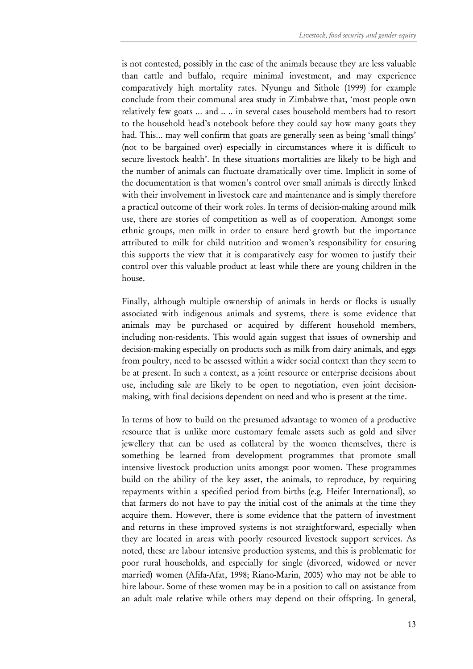is not contested, possibly in the case of the animals because they are less valuable than cattle and buffalo, require minimal investment, and may experience comparatively high mortality rates. Nyungu and Sithole (1999) for example conclude from their communal area study in Zimbabwe that, 'most people own relatively few goats … and .. .. in several cases household members had to resort to the household head's notebook before they could say how many goats they had. This… may well confirm that goats are generally seen as being 'small things' (not to be bargained over) especially in circumstances where it is difficult to secure livestock health'. In these situations mortalities are likely to be high and the number of animals can fluctuate dramatically over time. Implicit in some of the documentation is that women's control over small animals is directly linked with their involvement in livestock care and maintenance and is simply therefore a practical outcome of their work roles. In terms of decision-making around milk use, there are stories of competition as well as of cooperation. Amongst some ethnic groups, men milk in order to ensure herd growth but the importance attributed to milk for child nutrition and women's responsibility for ensuring this supports the view that it is comparatively easy for women to justify their control over this valuable product at least while there are young children in the house.

Finally, although multiple ownership of animals in herds or flocks is usually associated with indigenous animals and systems, there is some evidence that animals may be purchased or acquired by different household members, including non-residents. This would again suggest that issues of ownership and decision-making especially on products such as milk from dairy animals, and eggs from poultry, need to be assessed within a wider social context than they seem to be at present. In such a context, as a joint resource or enterprise decisions about use, including sale are likely to be open to negotiation, even joint decisionmaking, with final decisions dependent on need and who is present at the time.

In terms of how to build on the presumed advantage to women of a productive resource that is unlike more customary female assets such as gold and silver jewellery that can be used as collateral by the women themselves, there is something be learned from development programmes that promote small intensive livestock production units amongst poor women. These programmes build on the ability of the key asset, the animals, to reproduce, by requiring repayments within a specified period from births (e.g. Heifer International), so that farmers do not have to pay the initial cost of the animals at the time they acquire them. However, there is some evidence that the pattern of investment and returns in these improved systems is not straightforward, especially when they are located in areas with poorly resourced livestock support services. As noted, these are labour intensive production systems, and this is problematic for poor rural households, and especially for single (divorced, widowed or never married) women (Afifa-Afat, 1998; Riano-Marin, 2005) who may not be able to hire labour. Some of these women may be in a position to call on assistance from an adult male relative while others may depend on their offspring. In general,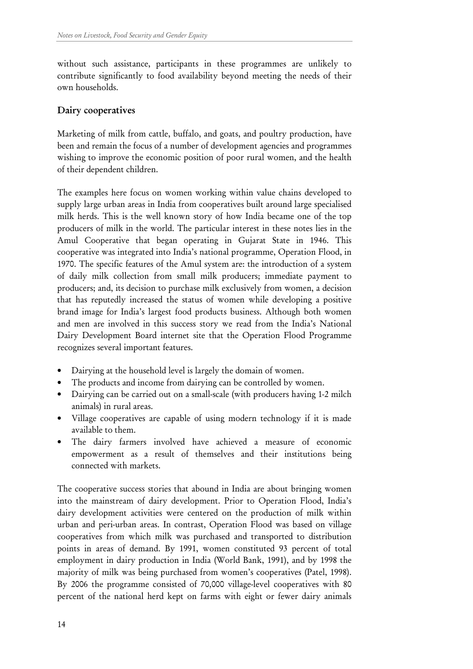without such assistance, participants in these programmes are unlikely to contribute significantly to food availability beyond meeting the needs of their own households.

## Dairy cooperatives

Marketing of milk from cattle, buffalo, and goats, and poultry production, have been and remain the focus of a number of development agencies and programmes wishing to improve the economic position of poor rural women, and the health of their dependent children.

The examples here focus on women working within value chains developed to supply large urban areas in India from cooperatives built around large specialised milk herds. This is the well known story of how India became one of the top producers of milk in the world. The particular interest in these notes lies in the Amul Cooperative that began operating in Gujarat State in 1946. This cooperative was integrated into India's national programme, Operation Flood, in 1970. The specific features of the Amul system are: the introduction of a system of daily milk collection from small milk producers; immediate payment to producers; and, its decision to purchase milk exclusively from women, a decision that has reputedly increased the status of women while developing a positive brand image for India's largest food products business. Although both women and men are involved in this success story we read from the India's National Dairy Development Board internet site that the Operation Flood Programme recognizes several important features.

- Dairying at the household level is largely the domain of women.
- The products and income from dairying can be controlled by women.
- Dairying can be carried out on a small-scale (with producers having 1-2 milch animals) in rural areas.
- Village cooperatives are capable of using modern technology if it is made available to them.
- The dairy farmers involved have achieved a measure of economic empowerment as a result of themselves and their institutions being connected with markets.

The cooperative success stories that abound in India are about bringing women into the mainstream of dairy development. Prior to Operation Flood, India's dairy development activities were centered on the production of milk within urban and peri-urban areas. In contrast, Operation Flood was based on village cooperatives from which milk was purchased and transported to distribution points in areas of demand. By 1991, women constituted 93 percent of total employment in dairy production in India (World Bank, 1991), and by 1998 the majority of milk was being purchased from women's cooperatives (Patel, 1998). By 2006 the programme consisted of 70,000 village-level cooperatives with 80 percent of the national herd kept on farms with eight or fewer dairy animals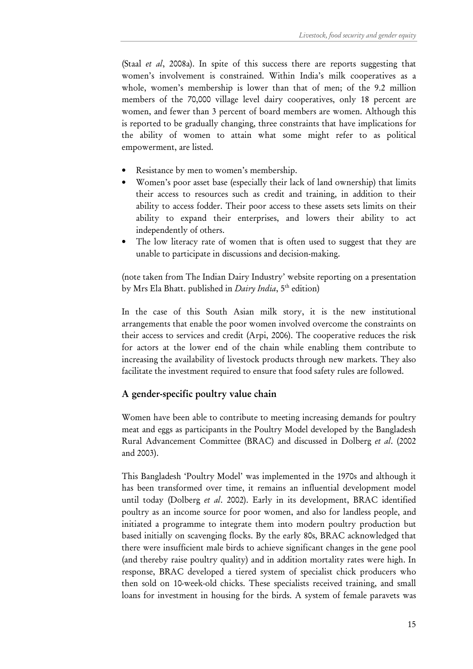(Staal et al, 2008a). In spite of this success there are reports suggesting that women's involvement is constrained. Within India's milk cooperatives as a whole, women's membership is lower than that of men; of the 9.2 million members of the 70,000 village level dairy cooperatives, only 18 percent are women, and fewer than 3 percent of board members are women. Although this is reported to be gradually changing, three constraints that have implications for the ability of women to attain what some might refer to as political empowerment, are listed.

- Resistance by men to women's membership.
- Women's poor asset base (especially their lack of land ownership) that limits their access to resources such as credit and training, in addition to their ability to access fodder. Their poor access to these assets sets limits on their ability to expand their enterprises, and lowers their ability to act independently of others.
- The low literacy rate of women that is often used to suggest that they are unable to participate in discussions and decision-making.

(note taken from The Indian Dairy Industry' website reporting on a presentation by Mrs Ela Bhatt. published in *Dairy India*,  $5<sup>th</sup>$  edition)

In the case of this South Asian milk story, it is the new institutional arrangements that enable the poor women involved overcome the constraints on their access to services and credit (Arpi, 2006). The cooperative reduces the risk for actors at the lower end of the chain while enabling them contribute to increasing the availability of livestock products through new markets. They also facilitate the investment required to ensure that food safety rules are followed.

#### A gender-specific poultry value chain

Women have been able to contribute to meeting increasing demands for poultry meat and eggs as participants in the Poultry Model developed by the Bangladesh Rural Advancement Committee (BRAC) and discussed in Dolberg et al. (2002 and 2003).

This Bangladesh 'Poultry Model' was implemented in the 1970s and although it has been transformed over time, it remains an influential development model until today (Dolberg et al. 2002). Early in its development, BRAC identified poultry as an income source for poor women, and also for landless people, and initiated a programme to integrate them into modern poultry production but based initially on scavenging flocks. By the early 80s, BRAC acknowledged that there were insufficient male birds to achieve significant changes in the gene pool (and thereby raise poultry quality) and in addition mortality rates were high. In response, BRAC developed a tiered system of specialist chick producers who then sold on 10-week-old chicks. These specialists received training, and small loans for investment in housing for the birds. A system of female paravets was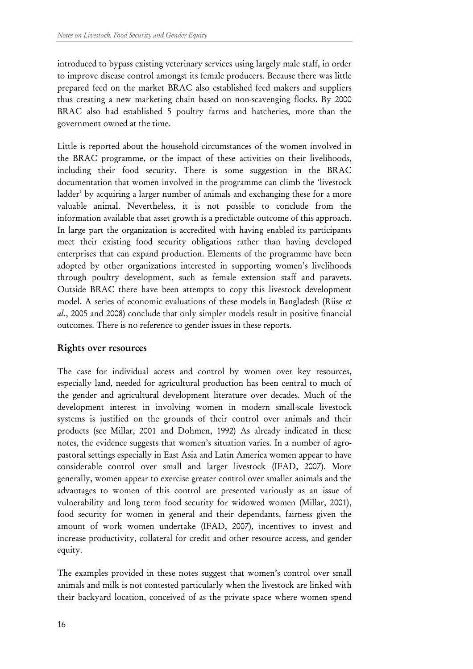introduced to bypass existing veterinary services using largely male staff, in order to improve disease control amongst its female producers. Because there was little prepared feed on the market BRAC also established feed makers and suppliers thus creating a new marketing chain based on non-scavenging flocks. By 2000 BRAC also had established 5 poultry farms and hatcheries, more than the government owned at the time.

Little is reported about the household circumstances of the women involved in the BRAC programme, or the impact of these activities on their livelihoods, including their food security. There is some suggestion in the BRAC documentation that women involved in the programme can climb the 'livestock ladder' by acquiring a larger number of animals and exchanging these for a more valuable animal. Nevertheless, it is not possible to conclude from the information available that asset growth is a predictable outcome of this approach. In large part the organization is accredited with having enabled its participants meet their existing food security obligations rather than having developed enterprises that can expand production. Elements of the programme have been adopted by other organizations interested in supporting women's livelihoods through poultry development, such as female extension staff and paravets. Outside BRAC there have been attempts to copy this livestock development model. A series of economic evaluations of these models in Bangladesh (Riise et al., 2005 and 2008) conclude that only simpler models result in positive financial outcomes. There is no reference to gender issues in these reports.

#### Rights over resources

The case for individual access and control by women over key resources, especially land, needed for agricultural production has been central to much of the gender and agricultural development literature over decades. Much of the development interest in involving women in modern small-scale livestock systems is justified on the grounds of their control over animals and their products (see Millar, 2001 and Dohmen, 1992) As already indicated in these notes, the evidence suggests that women's situation varies. In a number of agropastoral settings especially in East Asia and Latin America women appear to have considerable control over small and larger livestock (IFAD, 2007). More generally, women appear to exercise greater control over smaller animals and the advantages to women of this control are presented variously as an issue of vulnerability and long term food security for widowed women (Millar, 2001), food security for women in general and their dependants, fairness given the amount of work women undertake (IFAD, 2007), incentives to invest and increase productivity, collateral for credit and other resource access, and gender equity.

The examples provided in these notes suggest that women's control over small animals and milk is not contested particularly when the livestock are linked with their backyard location, conceived of as the private space where women spend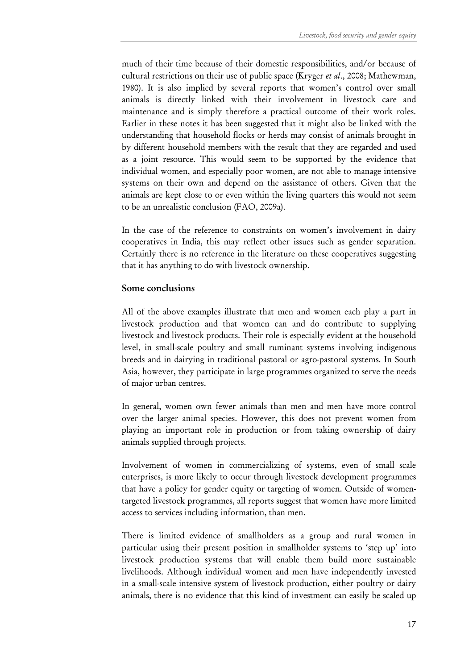much of their time because of their domestic responsibilities, and/or because of cultural restrictions on their use of public space (Kryger et al., 2008; Mathewman, 1980). It is also implied by several reports that women's control over small animals is directly linked with their involvement in livestock care and maintenance and is simply therefore a practical outcome of their work roles. Earlier in these notes it has been suggested that it might also be linked with the understanding that household flocks or herds may consist of animals brought in by different household members with the result that they are regarded and used as a joint resource. This would seem to be supported by the evidence that individual women, and especially poor women, are not able to manage intensive systems on their own and depend on the assistance of others. Given that the animals are kept close to or even within the living quarters this would not seem to be an unrealistic conclusion (FAO, 2009a).

In the case of the reference to constraints on women's involvement in dairy cooperatives in India, this may reflect other issues such as gender separation. Certainly there is no reference in the literature on these cooperatives suggesting that it has anything to do with livestock ownership.

#### Some conclusions

All of the above examples illustrate that men and women each play a part in livestock production and that women can and do contribute to supplying livestock and livestock products. Their role is especially evident at the household level, in small-scale poultry and small ruminant systems involving indigenous breeds and in dairying in traditional pastoral or agro-pastoral systems. In South Asia, however, they participate in large programmes organized to serve the needs of major urban centres.

In general, women own fewer animals than men and men have more control over the larger animal species. However, this does not prevent women from playing an important role in production or from taking ownership of dairy animals supplied through projects.

Involvement of women in commercializing of systems, even of small scale enterprises, is more likely to occur through livestock development programmes that have a policy for gender equity or targeting of women. Outside of womentargeted livestock programmes, all reports suggest that women have more limited access to services including information, than men.

There is limited evidence of smallholders as a group and rural women in particular using their present position in smallholder systems to 'step up' into livestock production systems that will enable them build more sustainable livelihoods. Although individual women and men have independently invested in a small-scale intensive system of livestock production, either poultry or dairy animals, there is no evidence that this kind of investment can easily be scaled up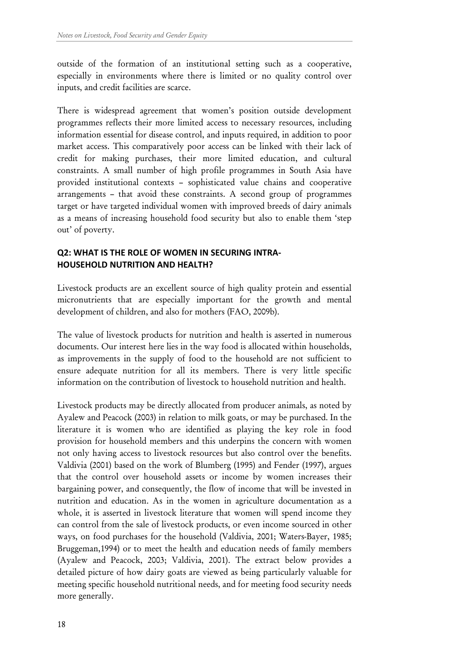outside of the formation of an institutional setting such as a cooperative, especially in environments where there is limited or no quality control over inputs, and credit facilities are scarce.

There is widespread agreement that women's position outside development programmes reflects their more limited access to necessary resources, including information essential for disease control, and inputs required, in addition to poor market access. This comparatively poor access can be linked with their lack of credit for making purchases, their more limited education, and cultural constraints. A small number of high profile programmes in South Asia have provided institutional contexts – sophisticated value chains and cooperative arrangements – that avoid these constraints. A second group of programmes target or have targeted individual women with improved breeds of dairy animals as a means of increasing household food security but also to enable them 'step out' of poverty.

#### Q2: WHAT IS THE ROLE OF WOMEN IN SECURING INTRA-HOUSEHOLD NUTRITION AND HEALTH?

Livestock products are an excellent source of high quality protein and essential micronutrients that are especially important for the growth and mental development of children, and also for mothers (FAO, 2009b).

The value of livestock products for nutrition and health is asserted in numerous documents. Our interest here lies in the way food is allocated within households, as improvements in the supply of food to the household are not sufficient to ensure adequate nutrition for all its members. There is very little specific information on the contribution of livestock to household nutrition and health.

Livestock products may be directly allocated from producer animals, as noted by Ayalew and Peacock (2003) in relation to milk goats, or may be purchased. In the literature it is women who are identified as playing the key role in food provision for household members and this underpins the concern with women not only having access to livestock resources but also control over the benefits. Valdivia (2001) based on the work of Blumberg (1995) and Fender (1997), argues that the control over household assets or income by women increases their bargaining power, and consequently, the flow of income that will be invested in nutrition and education. As in the women in agriculture documentation as a whole, it is asserted in livestock literature that women will spend income they can control from the sale of livestock products, or even income sourced in other ways, on food purchases for the household (Valdivia, 2001; Waters-Bayer, 1985; Bruggeman,1994) or to meet the health and education needs of family members (Ayalew and Peacock, 2003; Valdivia, 2001). The extract below provides a detailed picture of how dairy goats are viewed as being particularly valuable for meeting specific household nutritional needs, and for meeting food security needs more generally.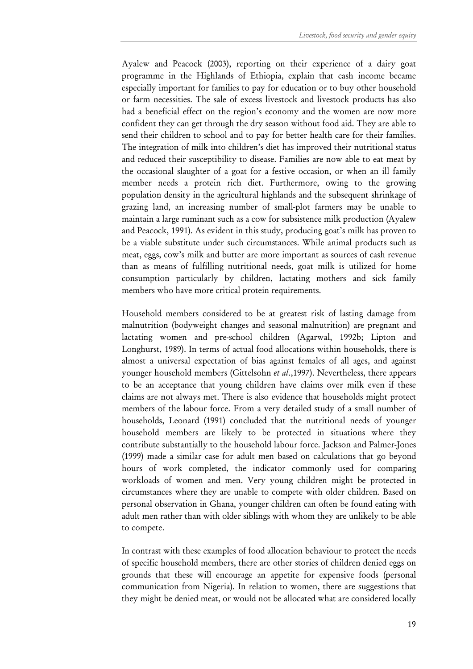Ayalew and Peacock (2003), reporting on their experience of a dairy goat programme in the Highlands of Ethiopia, explain that cash income became especially important for families to pay for education or to buy other household or farm necessities. The sale of excess livestock and livestock products has also had a beneficial effect on the region's economy and the women are now more confident they can get through the dry season without food aid. They are able to send their children to school and to pay for better health care for their families. The integration of milk into children's diet has improved their nutritional status and reduced their susceptibility to disease. Families are now able to eat meat by the occasional slaughter of a goat for a festive occasion, or when an ill family member needs a protein rich diet. Furthermore, owing to the growing population density in the agricultural highlands and the subsequent shrinkage of grazing land, an increasing number of small-plot farmers may be unable to maintain a large ruminant such as a cow for subsistence milk production (Ayalew and Peacock, 1991). As evident in this study, producing goat's milk has proven to be a viable substitute under such circumstances. While animal products such as meat, eggs, cow's milk and butter are more important as sources of cash revenue than as means of fulfilling nutritional needs, goat milk is utilized for home consumption particularly by children, lactating mothers and sick family members who have more critical protein requirements.

Household members considered to be at greatest risk of lasting damage from malnutrition (bodyweight changes and seasonal malnutrition) are pregnant and lactating women and pre-school children (Agarwal, 1992b; Lipton and Longhurst, 1989). In terms of actual food allocations within households, there is almost a universal expectation of bias against females of all ages, and against younger household members (Gittelsohn et al., 1997). Nevertheless, there appears to be an acceptance that young children have claims over milk even if these claims are not always met. There is also evidence that households might protect members of the labour force. From a very detailed study of a small number of households, Leonard (1991) concluded that the nutritional needs of younger household members are likely to be protected in situations where they contribute substantially to the household labour force. Jackson and Palmer-Jones (1999) made a similar case for adult men based on calculations that go beyond hours of work completed, the indicator commonly used for comparing workloads of women and men. Very young children might be protected in circumstances where they are unable to compete with older children. Based on personal observation in Ghana, younger children can often be found eating with adult men rather than with older siblings with whom they are unlikely to be able to compete.

In contrast with these examples of food allocation behaviour to protect the needs of specific household members, there are other stories of children denied eggs on grounds that these will encourage an appetite for expensive foods (personal communication from Nigeria). In relation to women, there are suggestions that they might be denied meat, or would not be allocated what are considered locally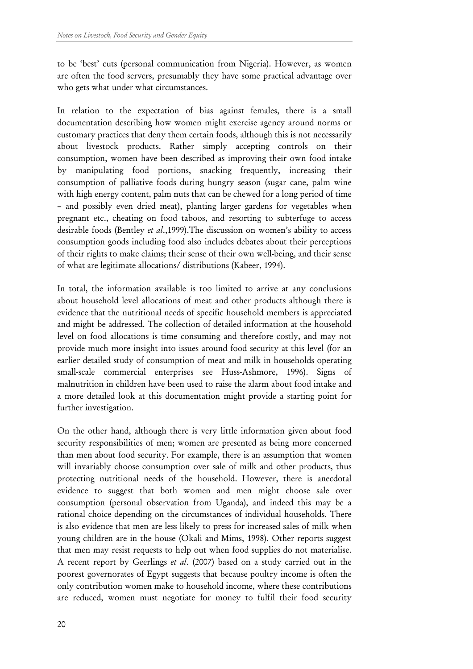to be 'best' cuts (personal communication from Nigeria). However, as women are often the food servers, presumably they have some practical advantage over who gets what under what circumstances.

In relation to the expectation of bias against females, there is a small documentation describing how women might exercise agency around norms or customary practices that deny them certain foods, although this is not necessarily about livestock products. Rather simply accepting controls on their consumption, women have been described as improving their own food intake by manipulating food portions, snacking frequently, increasing their consumption of palliative foods during hungry season (sugar cane, palm wine with high energy content, palm nuts that can be chewed for a long period of time – and possibly even dried meat), planting larger gardens for vegetables when pregnant etc., cheating on food taboos, and resorting to subterfuge to access desirable foods (Bentley et al., 1999). The discussion on women's ability to access consumption goods including food also includes debates about their perceptions of their rights to make claims; their sense of their own well-being, and their sense of what are legitimate allocations/ distributions (Kabeer, 1994).

In total, the information available is too limited to arrive at any conclusions about household level allocations of meat and other products although there is evidence that the nutritional needs of specific household members is appreciated and might be addressed. The collection of detailed information at the household level on food allocations is time consuming and therefore costly, and may not provide much more insight into issues around food security at this level (for an earlier detailed study of consumption of meat and milk in households operating small-scale commercial enterprises see Huss-Ashmore, 1996). Signs of malnutrition in children have been used to raise the alarm about food intake and a more detailed look at this documentation might provide a starting point for further investigation.

On the other hand, although there is very little information given about food security responsibilities of men; women are presented as being more concerned than men about food security. For example, there is an assumption that women will invariably choose consumption over sale of milk and other products, thus protecting nutritional needs of the household. However, there is anecdotal evidence to suggest that both women and men might choose sale over consumption (personal observation from Uganda), and indeed this may be a rational choice depending on the circumstances of individual households. There is also evidence that men are less likely to press for increased sales of milk when young children are in the house (Okali and Mims, 1998). Other reports suggest that men may resist requests to help out when food supplies do not materialise. A recent report by Geerlings et al. (2007) based on a study carried out in the poorest governorates of Egypt suggests that because poultry income is often the only contribution women make to household income, where these contributions are reduced, women must negotiate for money to fulfil their food security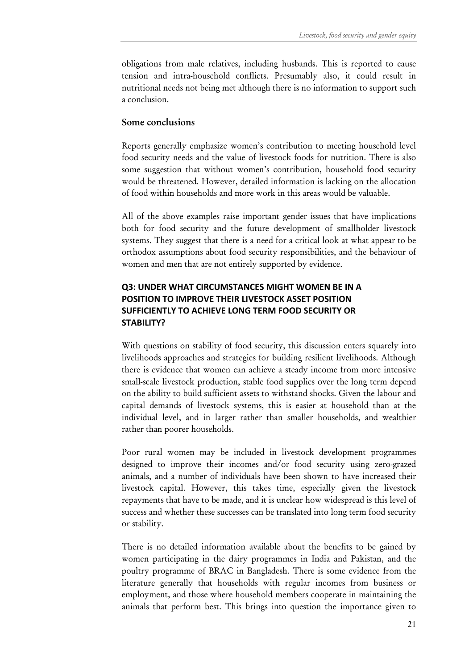obligations from male relatives, including husbands. This is reported to cause tension and intra-household conflicts. Presumably also, it could result in nutritional needs not being met although there is no information to support such a conclusion.

#### Some conclusions

Reports generally emphasize women's contribution to meeting household level food security needs and the value of livestock foods for nutrition. There is also some suggestion that without women's contribution, household food security would be threatened. However, detailed information is lacking on the allocation of food within households and more work in this areas would be valuable.

All of the above examples raise important gender issues that have implications both for food security and the future development of smallholder livestock systems. They suggest that there is a need for a critical look at what appear to be orthodox assumptions about food security responsibilities, and the behaviour of women and men that are not entirely supported by evidence.

## Q3: UNDER WHAT CIRCUMSTANCES MIGHT WOMEN BE IN A POSITION TO IMPROVE THEIR LIVESTOCK ASSET POSITION SUFFICIENTLY TO ACHIEVE LONG TERM FOOD SECURITY OR STABILITY?

With questions on stability of food security, this discussion enters squarely into livelihoods approaches and strategies for building resilient livelihoods. Although there is evidence that women can achieve a steady income from more intensive small-scale livestock production, stable food supplies over the long term depend on the ability to build sufficient assets to withstand shocks. Given the labour and capital demands of livestock systems, this is easier at household than at the individual level, and in larger rather than smaller households, and wealthier rather than poorer households.

Poor rural women may be included in livestock development programmes designed to improve their incomes and/or food security using zero-grazed animals, and a number of individuals have been shown to have increased their livestock capital. However, this takes time, especially given the livestock repayments that have to be made, and it is unclear how widespread is this level of success and whether these successes can be translated into long term food security or stability.

There is no detailed information available about the benefits to be gained by women participating in the dairy programmes in India and Pakistan, and the poultry programme of BRAC in Bangladesh. There is some evidence from the literature generally that households with regular incomes from business or employment, and those where household members cooperate in maintaining the animals that perform best. This brings into question the importance given to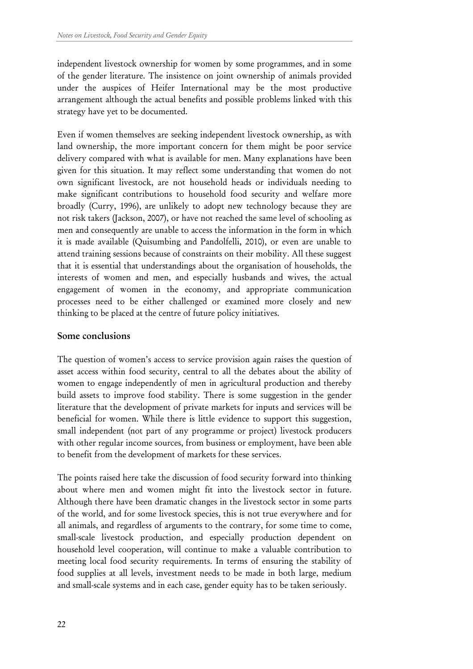independent livestock ownership for women by some programmes, and in some of the gender literature. The insistence on joint ownership of animals provided under the auspices of Heifer International may be the most productive arrangement although the actual benefits and possible problems linked with this strategy have yet to be documented.

Even if women themselves are seeking independent livestock ownership, as with land ownership, the more important concern for them might be poor service delivery compared with what is available for men. Many explanations have been given for this situation. It may reflect some understanding that women do not own significant livestock, are not household heads or individuals needing to make significant contributions to household food security and welfare more broadly (Curry, 1996), are unlikely to adopt new technology because they are not risk takers (Jackson, 2007), or have not reached the same level of schooling as men and consequently are unable to access the information in the form in which it is made available (Quisumbing and Pandolfelli, 2010), or even are unable to attend training sessions because of constraints on their mobility. All these suggest that it is essential that understandings about the organisation of households, the interests of women and men, and especially husbands and wives, the actual engagement of women in the economy, and appropriate communication processes need to be either challenged or examined more closely and new thinking to be placed at the centre of future policy initiatives.

#### Some conclusions

The question of women's access to service provision again raises the question of asset access within food security, central to all the debates about the ability of women to engage independently of men in agricultural production and thereby build assets to improve food stability. There is some suggestion in the gender literature that the development of private markets for inputs and services will be beneficial for women. While there is little evidence to support this suggestion, small independent (not part of any programme or project) livestock producers with other regular income sources, from business or employment, have been able to benefit from the development of markets for these services.

The points raised here take the discussion of food security forward into thinking about where men and women might fit into the livestock sector in future. Although there have been dramatic changes in the livestock sector in some parts of the world, and for some livestock species, this is not true everywhere and for all animals, and regardless of arguments to the contrary, for some time to come, small-scale livestock production, and especially production dependent on household level cooperation, will continue to make a valuable contribution to meeting local food security requirements. In terms of ensuring the stability of food supplies at all levels, investment needs to be made in both large, medium and small-scale systems and in each case, gender equity has to be taken seriously.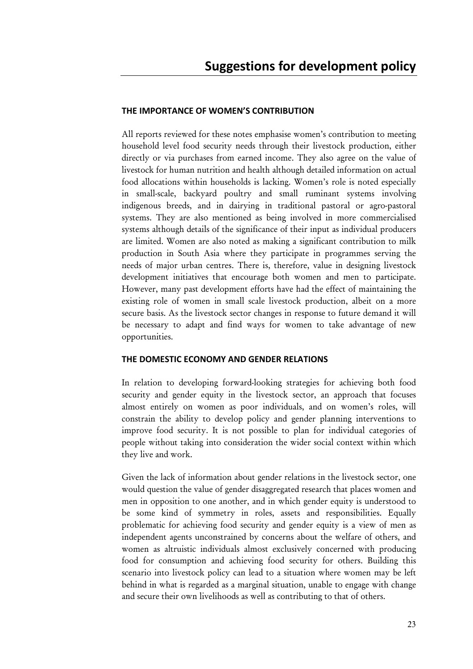#### THE IMPORTANCE OF WOMEN'S CONTRIBUTION

All reports reviewed for these notes emphasise women's contribution to meeting household level food security needs through their livestock production, either directly or via purchases from earned income. They also agree on the value of livestock for human nutrition and health although detailed information on actual food allocations within households is lacking. Women's role is noted especially in small-scale, backyard poultry and small ruminant systems involving indigenous breeds, and in dairying in traditional pastoral or agro-pastoral systems. They are also mentioned as being involved in more commercialised systems although details of the significance of their input as individual producers are limited. Women are also noted as making a significant contribution to milk production in South Asia where they participate in programmes serving the needs of major urban centres. There is, therefore, value in designing livestock development initiatives that encourage both women and men to participate. However, many past development efforts have had the effect of maintaining the existing role of women in small scale livestock production, albeit on a more secure basis. As the livestock sector changes in response to future demand it will be necessary to adapt and find ways for women to take advantage of new opportunities.

#### THE DOMESTIC ECONOMY AND GENDER RELATIONS

In relation to developing forward-looking strategies for achieving both food security and gender equity in the livestock sector, an approach that focuses almost entirely on women as poor individuals, and on women's roles, will constrain the ability to develop policy and gender planning interventions to improve food security. It is not possible to plan for individual categories of people without taking into consideration the wider social context within which they live and work.

Given the lack of information about gender relations in the livestock sector, one would question the value of gender disaggregated research that places women and men in opposition to one another, and in which gender equity is understood to be some kind of symmetry in roles, assets and responsibilities. Equally problematic for achieving food security and gender equity is a view of men as independent agents unconstrained by concerns about the welfare of others, and women as altruistic individuals almost exclusively concerned with producing food for consumption and achieving food security for others. Building this scenario into livestock policy can lead to a situation where women may be left behind in what is regarded as a marginal situation, unable to engage with change and secure their own livelihoods as well as contributing to that of others.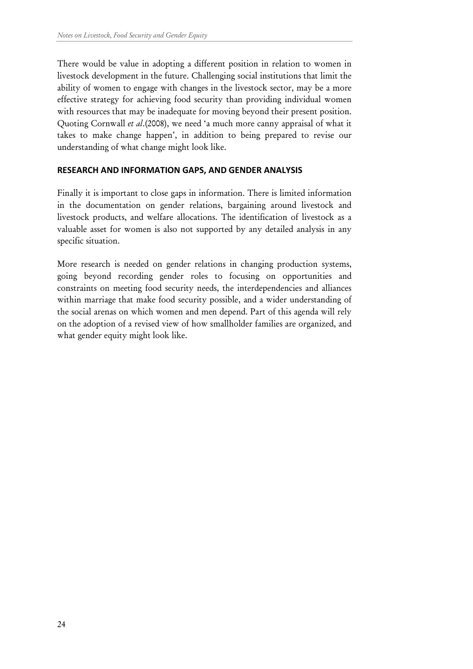There would be value in adopting a different position in relation to women in livestock development in the future. Challenging social institutions that limit the ability of women to engage with changes in the livestock sector, may be a more effective strategy for achieving food security than providing individual women with resources that may be inadequate for moving beyond their present position. Quoting Cornwall et al.(2008), we need 'a much more canny appraisal of what it takes to make change happen', in addition to being prepared to revise our understanding of what change might look like.

#### RESEARCH AND INFORMATION GAPS, AND GENDER ANALYSIS

Finally it is important to close gaps in information. There is limited information in the documentation on gender relations, bargaining around livestock and livestock products, and welfare allocations. The identification of livestock as a valuable asset for women is also not supported by any detailed analysis in any specific situation.

More research is needed on gender relations in changing production systems, going beyond recording gender roles to focusing on opportunities and constraints on meeting food security needs, the interdependencies and alliances within marriage that make food security possible, and a wider understanding of the social arenas on which women and men depend. Part of this agenda will rely on the adoption of a revised view of how smallholder families are organized, and what gender equity might look like.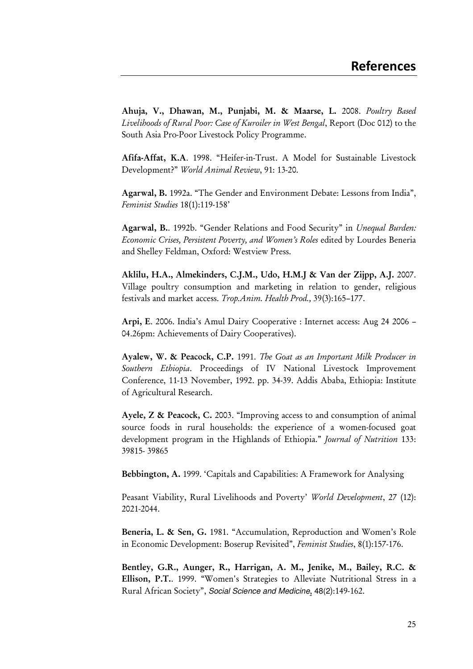Ahuja, V., Dhawan, M., Punjabi, M. & Maarse, L. 2008. Poultry Based Livelihoods of Rural Poor: Case of Kuroiler in West Bengal, Report (Doc 012) to the South Asia Pro-Poor Livestock Policy Programme.

Afifa-Affat, K.A. 1998. "Heifer-in-Trust. A Model for Sustainable Livestock Development?" World Animal Review, 91: 13-20.

Agarwal, B. 1992a. "The Gender and Environment Debate: Lessons from India", Feminist Studies 18(1):119-158'

Agarwal, B.. 1992b. "Gender Relations and Food Security" in Unequal Burden: Economic Crises, Persistent Poverty, and Women's Roles edited by Lourdes Beneria and Shelley Feldman, Oxford: Westview Press.

Aklilu, H.A., Almekinders, C.J.M., Udo, H.M.J & Van der Zijpp, A.J. 2007. Village poultry consumption and marketing in relation to gender, religious festivals and market access. Trop.Anim. Health Prod., 39(3):165–177.

Arpi, E. 2006. India's Amul Dairy Cooperative : Internet access: Aug 24 2006 – 04.26pm: Achievements of Dairy Cooperatives).

Ayalew, W. & Peacock, C.P. 1991. The Goat as an Important Milk Producer in Southern Ethiopia. Proceedings of IV National Livestock Improvement Conference, 11-13 November, 1992. pp. 34-39. Addis Ababa, Ethiopia: Institute of Agricultural Research.

Ayele, Z & Peacock, C. 2003. "Improving access to and consumption of animal source foods in rural households: the experience of a women-focused goat development program in the Highlands of Ethiopia." *Journal of Nutrition* 133: 39815- 39865

Bebbington, A. 1999. 'Capitals and Capabilities: A Framework for Analysing

Peasant Viability, Rural Livelihoods and Poverty' World Development, 27 (12): 2021-2044.

Beneria, L. & Sen, G. 1981. "Accumulation, Reproduction and Women's Role in Economic Development: Boserup Revisited", Feminist Studies, 8(1):157-176.

Bentley, G.R., Aunger, R., Harrigan, A. M., Jenike, M., Bailey, R.C. & Ellison, P.T.. 1999. "Women's Strategies to Alleviate Nutritional Stress in a Rural African Society", Social Science and Medicine, 48(2):149-162.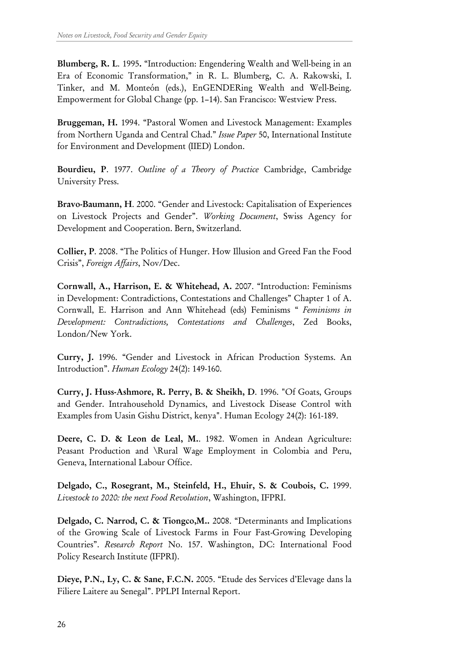Blumberg, R. L. 1995. "Introduction: Engendering Wealth and Well-being in an Era of Economic Transformation," in R. L. Blumberg, C. A. Rakowski, I. Tinker, and M. Monteón (eds.), EnGENDERing Wealth and Well-Being. Empowerment for Global Change (pp. 1–14). San Francisco: Westview Press.

Bruggeman, H. 1994. "Pastoral Women and Livestock Management: Examples from Northern Uganda and Central Chad." Issue Paper 50, International Institute for Environment and Development (IIED) London.

Bourdieu, P. 1977. Outline of a Theory of Practice Cambridge, Cambridge University Press.

Bravo-Baumann, H. 2000. "Gender and Livestock: Capitalisation of Experiences on Livestock Projects and Gender". Working Document, Swiss Agency for Development and Cooperation. Bern, Switzerland.

Collier, P. 2008. "The Politics of Hunger. How Illusion and Greed Fan the Food Crisis", Foreign Affairs, Nov/Dec.

Cornwall, A., Harrison, E. & Whitehead, A. 2007. "Introduction: Feminisms in Development: Contradictions, Contestations and Challenges" Chapter 1 of A. Cornwall, E. Harrison and Ann Whitehead (eds) Feminisms " Feminisms in Development: Contradictions, Contestations and Challenges, Zed Books, London/New York.

Curry, J. 1996. "Gender and Livestock in African Production Systems. An Introduction". Human Ecology 24(2): 149-160.

Curry, J. Huss-Ashmore, R. Perry, B. & Sheikh, D. 1996. "Of Goats, Groups and Gender. Intrahousehold Dynamics, and Livestock Disease Control with Examples from Uasin Gishu District, kenya". Human Ecology 24(2): 161-189.

Deere, C. D. & Leon de Leal, M.. 1982. Women in Andean Agriculture: Peasant Production and \Rural Wage Employment in Colombia and Peru, Geneva, International Labour Office.

Delgado, C., Rosegrant, M., Steinfeld, H., Ehuir, S. & Coubois, C. 1999. Livestock to 2020: the next Food Revolution, Washington, IFPRI.

Delgado, C. Narrod, C. & Tiongco,M.. 2008. "Determinants and Implications of the Growing Scale of Livestock Farms in Four Fast-Growing Developing Countries". Research Report No. 157. Washington, DC: International Food Policy Research Institute (IFPRI).

Dieye, P.N., Ly, C. & Sane, F.C.N. 2005. "Etude des Services d'Elevage dans la Filiere Laitere au Senegal". PPLPI Internal Report.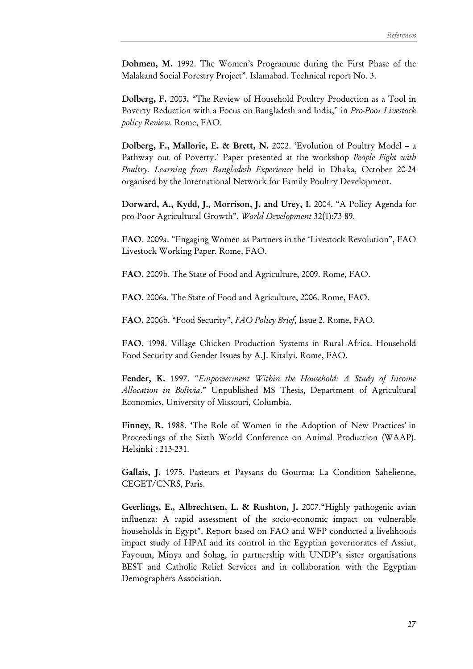Dohmen, M. 1992. The Women's Programme during the First Phase of the Malakand Social Forestry Project". Islamabad. Technical report No. 3.

Dolberg, F. 2003. "The Review of Household Poultry Production as a Tool in Poverty Reduction with a Focus on Bangladesh and India," in Pro-Poor Livestock policy Review. Rome, FAO.

Dolberg, F., Mallorie, E. & Brett, N. 2002. 'Evolution of Poultry Model – a Pathway out of Poverty.' Paper presented at the workshop People Fight with Poultry. Learning from Bangladesh Experience held in Dhaka, October 20-24 organised by the International Network for Family Poultry Development.

Dorward, A., Kydd, J., Morrison, J. and Urey, I. 2004. "A Policy Agenda for pro-Poor Agricultural Growth", World Development 32(1):73-89.

FAO. 2009a. "Engaging Women as Partners in the 'Livestock Revolution", FAO Livestock Working Paper. Rome, FAO.

FAO. 2009b. The State of Food and Agriculture, 2009. Rome, FAO.

FAO. 2006a. The State of Food and Agriculture, 2006. Rome, FAO.

FAO. 2006b. "Food Security", FAO Policy Brief, Issue 2. Rome, FAO.

FAO. 1998. Village Chicken Production Systems in Rural Africa. Household Food Security and Gender Issues by A.J. Kitalyi. Rome, FAO.

Fender, K. 1997. "Empowerment Within the Household: A Study of Income Allocation in Bolivia." Unpublished MS Thesis, Department of Agricultural Economics, University of Missouri, Columbia.

Finney, R. 1988. 'The Role of Women in the Adoption of New Practices' in Proceedings of the Sixth World Conference on Animal Production (WAAP). Helsinki : 213-231.

Gallais, J. 1975. Pasteurs et Paysans du Gourma: La Condition Sahelienne, CEGET/CNRS, Paris.

Geerlings, E., Albrechtsen, L. & Rushton, J. 2007."Highly pathogenic avian influenza: A rapid assessment of the socio-economic impact on vulnerable households in Egypt". Report based on FAO and WFP conducted a livelihoods impact study of HPAI and its control in the Egyptian governorates of Assiut, Fayoum, Minya and Sohag, in partnership with UNDP's sister organisations BEST and Catholic Relief Services and in collaboration with the Egyptian Demographers Association.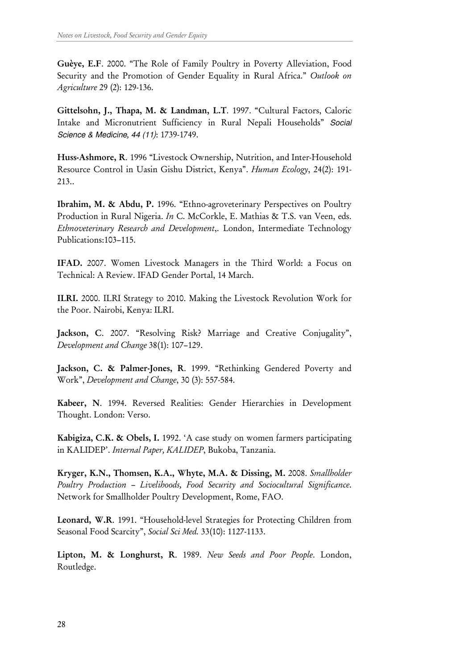Guèye, E.F. 2000. "The Role of Family Poultry in Poverty Alleviation, Food Security and the Promotion of Gender Equality in Rural Africa." Outlook on Agriculture 29 (2): 129-136.

Gittelsohn, J., Thapa, M. & Landman, L.T. 1997. "Cultural Factors, Caloric Intake and Micronutrient Sufficiency in Rural Nepali Households" Social Science & Medicine, 44 (11): 1739-1749.

Huss-Ashmore, R. 1996 "Livestock Ownership, Nutrition, and Inter-Household Resource Control in Uasin Gishu District, Kenya". Human Ecology, 24(2): 191- 213..

Ibrahim, M. & Abdu, P. 1996. "Ethno-agroveterinary Perspectives on Poultry Production in Rural Nigeria. In C. McCorkle, E. Mathias & T.S. van Veen, eds. Ethnoveterinary Research and Development,. London, Intermediate Technology Publications:103–115.

IFAD. 2007. Women Livestock Managers in the Third World: a Focus on Technical: A Review. IFAD Gender Portal, 14 March.

ILRI. 2000. ILRI Strategy to 2010. Making the Livestock Revolution Work for the Poor. Nairobi, Kenya: ILRI.

Jackson, C. 2007. "Resolving Risk? Marriage and Creative Conjugality", Development and Change 38(1): 107–129.

Jackson, C. & Palmer-Jones, R. 1999. "Rethinking Gendered Poverty and Work", Development and Change, 30 (3): 557-584.

Kabeer, N. 1994. Reversed Realities: Gender Hierarchies in Development Thought. London: Verso.

Kabigiza, C.K. & Obels, I. 1992. 'A case study on women farmers participating in KALIDEP'. Internal Paper, KALIDEP, Bukoba, Tanzania.

Kryger, K.N., Thomsen, K.A., Whyte, M.A. & Dissing, M. 2008. Smallholder Poultry Production – Livelihoods, Food Security and Sociocultural Significance. Network for Smallholder Poultry Development, Rome, FAO.

Leonard, W.R. 1991. "Household-level Strategies for Protecting Children from Seasonal Food Scarcity", Social Sci Med. 33(10): 1127-1133.

Lipton, M. & Longhurst, R. 1989. New Seeds and Poor People. London, Routledge.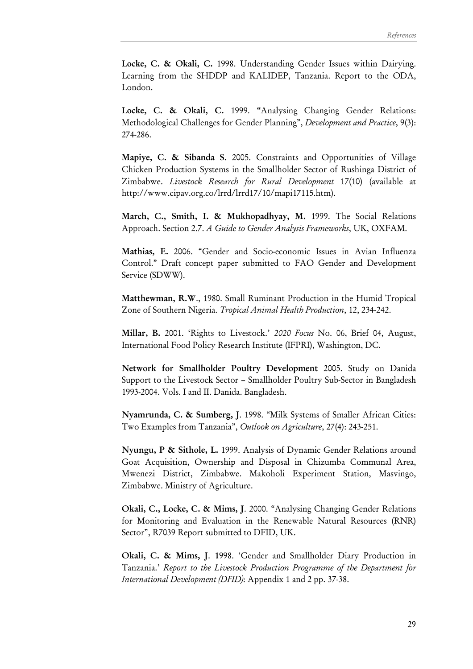Locke, C. & Okali, C. 1998. Understanding Gender Issues within Dairying. Learning from the SHDDP and KALIDEP, Tanzania. Report to the ODA, London.

Locke, C. & Okali, C. 1999. "Analysing Changing Gender Relations: Methodological Challenges for Gender Planning", Development and Practice, 9(3): 274-286.

Mapiye, C. & Sibanda S. 2005. Constraints and Opportunities of Village Chicken Production Systems in the Smallholder Sector of Rushinga District of Zimbabwe. Livestock Research for Rural Development 17(10) (available at http://www.cipav.org.co/lrrd/lrrd17/10/mapi17115.htm).

March, C., Smith, I. & Mukhopadhyay, M. 1999. The Social Relations Approach. Section 2.7. A Guide to Gender Analysis Frameworks, UK, OXFAM.

Mathias, E. 2006. "Gender and Socio-economic Issues in Avian Influenza Control." Draft concept paper submitted to FAO Gender and Development Service (SDWW).

Matthewman, R.W., 1980. Small Ruminant Production in the Humid Tropical Zone of Southern Nigeria. Tropical Animal Health Production, 12, 234-242.

Millar, B. 2001. 'Rights to Livestock.' 2020 Focus No. 06, Brief 04, August, International Food Policy Research Institute (IFPRI), Washington, DC.

Network for Smallholder Poultry Development 2005. Study on Danida Support to the Livestock Sector – Smallholder Poultry Sub-Sector in Bangladesh 1993-2004. Vols. I and II. Danida. Bangladesh.

Nyamrunda, C. & Sumberg, J. 1998. "Milk Systems of Smaller African Cities: Two Examples from Tanzania", Outlook on Agriculture, 27(4): 243-251.

Nyungu, P & Sithole, L. 1999. Analysis of Dynamic Gender Relations around Goat Acquisition, Ownership and Disposal in Chizumba Communal Area, Mwenezi District, Zimbabwe. Makoholi Experiment Station, Masvingo, Zimbabwe. Ministry of Agriculture.

Okali, C., Locke, C. & Mims, J. 2000. "Analysing Changing Gender Relations for Monitoring and Evaluation in the Renewable Natural Resources (RNR) Sector", R7039 Report submitted to DFID, UK.

Okali, C. & Mims, J. 1998. 'Gender and Smallholder Diary Production in Tanzania.' Report to the Livestock Production Programme of the Department for International Development (DFID): Appendix 1 and 2 pp. 37-38.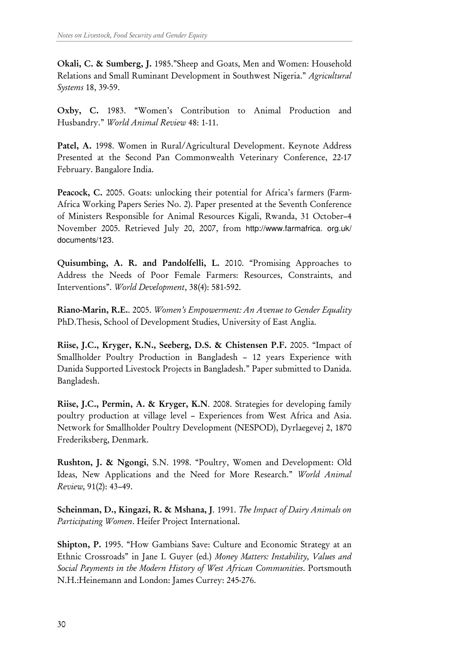Okali, C. & Sumberg, J. 1985."Sheep and Goats, Men and Women: Household Relations and Small Ruminant Development in Southwest Nigeria." Agricultural Systems 18, 39-59.

Oxby, C. 1983. "Women's Contribution to Animal Production and Husbandry." World Animal Review 48: 1-11.

Patel, A. 1998. Women in Rural/Agricultural Development. Keynote Address Presented at the Second Pan Commonwealth Veterinary Conference, 22-17 February. Bangalore India.

Peacock, C. 2005. Goats: unlocking their potential for Africa's farmers (Farm-Africa Working Papers Series No. 2). Paper presented at the Seventh Conference of Ministers Responsible for Animal Resources Kigali, Rwanda, 31 October–4 November 2005. Retrieved July 20, 2007, from http://www.farmafrica. org.uk/ documents/123.

Quisumbing, A. R. and Pandolfelli, L. 2010. "Promising Approaches to Address the Needs of Poor Female Farmers: Resources, Constraints, and Interventions". World Development, 38(4): 581-592.

Riano-Marin, R.E.. 2005. Women's Empowerment: An Avenue to Gender Equality PhD.Thesis, School of Development Studies, University of East Anglia.

Riise, J.C., Kryger, K.N., Seeberg, D.S. & Chistensen P.F. 2005. "Impact of Smallholder Poultry Production in Bangladesh – 12 years Experience with Danida Supported Livestock Projects in Bangladesh." Paper submitted to Danida. Bangladesh.

Riise, J.C., Permin, A. & Kryger, K.N. 2008. Strategies for developing family poultry production at village level – Experiences from West Africa and Asia. Network for Smallholder Poultry Development (NESPOD), Dyrlaegevej 2, 1870 Frederiksberg, Denmark.

Rushton, J. & Ngongi, S.N. 1998. "Poultry, Women and Development: Old Ideas, New Applications and the Need for More Research." World Animal Review, 91(2): 43–49.

Scheinman, D., Kingazi, R. & Mshana, J. 1991. The Impact of Dairy Animals on Participating Women. Heifer Project International.

Shipton, P. 1995. "How Gambians Save: Culture and Economic Strategy at an Ethnic Crossroads" in Jane I. Guyer (ed.) Money Matters: Instability, Values and Social Payments in the Modern History of West African Communities. Portsmouth N.H.:Heinemann and London: James Currey: 245-276.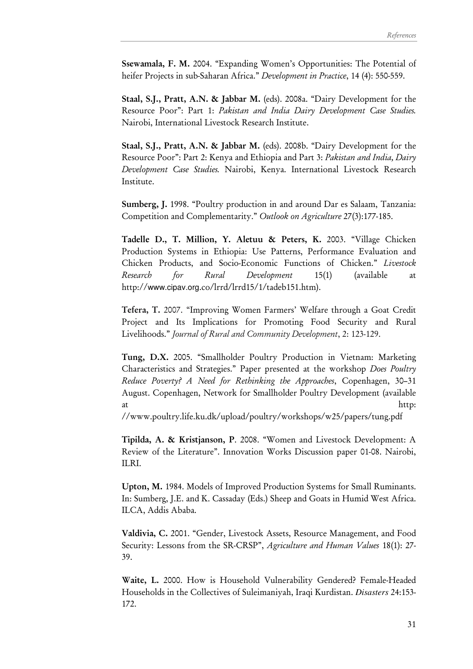Ssewamala, F. M. 2004. "Expanding Women's Opportunities: The Potential of heifer Projects in sub-Saharan Africa." Development in Practice, 14 (4): 550-559.

Staal, S.J., Pratt, A.N. & Jabbar M. (eds). 2008a. "Dairy Development for the Resource Poor": Part 1: Pakistan and India Dairy Development Case Studies. Nairobi, International Livestock Research Institute.

Staal, S.J., Pratt, A.N. & Jabbar M. (eds). 2008b. "Dairy Development for the Resource Poor": Part 2: Kenya and Ethiopia and Part 3: Pakistan and India, Dairy Development Case Studies. Nairobi, Kenya. International Livestock Research Institute.

Sumberg, J. 1998. "Poultry production in and around Dar es Salaam, Tanzania: Competition and Complementarity." Outlook on Agriculture 27(3):177-185.

Tadelle D., T. Million, Y. Aletuu & Peters, K. 2003. "Village Chicken Production Systems in Ethiopia: Use Patterns, Performance Evaluation and Chicken Products, and Socio-Economic Functions of Chicken." Livestock Research for Rural Development 15(1) (available at http://www.cipav.org.co/lrrd/lrrd15/1/tadeb151.htm).

Tefera, T. 2007. "Improving Women Farmers' Welfare through a Goat Credit Project and Its Implications for Promoting Food Security and Rural Livelihoods." Journal of Rural and Community Development, 2: 123-129.

Tung, D.X. 2005. "Smallholder Poultry Production in Vietnam: Marketing Characteristics and Strategies." Paper presented at the workshop Does Poultry Reduce Poverty? A Need for Rethinking the Approaches, Copenhagen, 30–31 August. Copenhagen, Network for Smallholder Poultry Development (available at http://www.mat.com/induction/induction/induction/induction/induction/induction/induction/induction/induction

//www.poultry.life.ku.dk/upload/poultry/workshops/w25/papers/tung.pdf

Tipilda, A. & Kristjanson, P. 2008. "Women and Livestock Development: A Review of the Literature". Innovation Works Discussion paper 01-08. Nairobi, ILRI.

Upton, M. 1984. Models of Improved Production Systems for Small Ruminants. In: Sumberg, J.E. and K. Cassaday (Eds.) Sheep and Goats in Humid West Africa. ILCA, Addis Ababa.

Valdivia, C. 2001. "Gender, Livestock Assets, Resource Management, and Food Security: Lessons from the SR-CRSP", Agriculture and Human Values 18(1): 27-39.

Waite, L. 2000. How is Household Vulnerability Gendered? Female-Headed Households in the Collectives of Suleimaniyah, Iraqi Kurdistan. *Disasters* 24:153- 172.